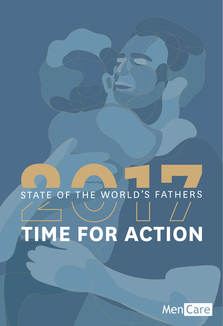## **2017 THE WORLD'S FATHERS Time for Action** STATE OF THE WORLD'S FATHERS

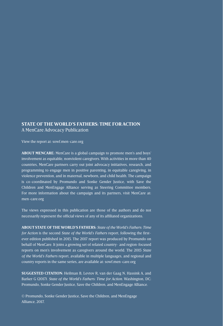#### **State of the World's Fathers: Time for Action** A MenCare Advocacy Publication

View the report at: sowf.men-care.org

**About MenCare:** MenCare is a global campaign to promote men's and boys' involvement as equitable, nonviolent caregivers. With activities in more than 40 countries, MenCare partners carry out joint advocacy initiatives, research, and programming to engage men in positive parenting, in equitable caregiving, in violence prevention, and in maternal, newborn, and child health. The campaign is co-coordinated by Promundo and Sonke Gender Justice, with Save the Children and MenEngage Alliance serving as Steering Committee members. For more information about the campaign and its partners, visit MenCare at: men-care.org

The views expressed in this publication are those of the authors and do not necessarily represent the official views of any of its affiliated organizations.

**About State of the World's Fathers:** *State of the World's Fathers: Time for Action* is the second *State of the World's Fathers* report, following the firstever edition published in 2015. The 2017 report was produced by Promundo on behalf of MenCare. It joins a growing set of related country- and region-focused reports on men's involvement as caregivers around the world. The 2015 *State of the World's Fathers* report, available in multiple languages, and regional and country reports in the same series, are available at: sowf.men-care.org

**Suggested citation:** Heilman B, Levtov R, van der Gaag N, Hassink A, and Barker G (2017). *State of the World's Fathers: Time for Action.* Washington, DC: Promundo, Sonke Gender Justice, Save the Children, and MenEngage Alliance.

© Promundo, Sonke Gender Justice, Save the Children, and MenEngage Alliance, 2017.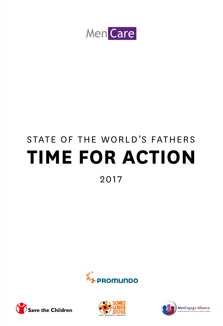

## **Time for Action** STATE OF THE WORLD'S FATHERS

2017







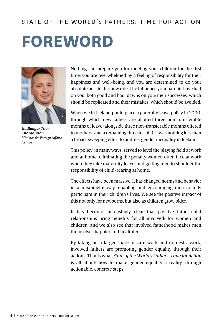#### STATE OF THE WORLD'S FATHERS: TIME FOR ACTION

## **Foreword**



*Gudlaugur Thor Thordarsson Minister for Foreign Affairs, Iceland* 

Nothing can prepare you for meeting your children for the first time: you are overwhelmed by a feeling of responsibility for their happiness and well-being, and you are determined to do your absolute best in this new role. The influence your parents have had on you, both good and bad, dawns on you: their successes, which should be replicated and their mistakes, which should be avoided.

When we in Iceland put in place a paternity leave policy in 2000, through which new fathers are allotted three non-transferable months of leave (alongside three non-transferable months offered to mothers, and a remaining three to split), it was nothing less than a broad-sweeping effort to address gender inequality in Iceland.

This policy, in many ways, served to level the playing field at work and at home: eliminating the penalty women often face at work when they take maternity leave, and getting men to shoulder the responsibility of child-rearing at home.

The effects have been massive. It has changed norms and behavior in a meaningful way, enabling and encouraging men to fully participate in their children's lives. We see the positive impact of this not only for newborns, but also as children grow older.

It has become increasingly clear that positive father-child relationships bring benefits for all involved: for women and children, and we also see that involved fatherhood makes men themselves happier and healthier.

By taking on a larger share of care work and domestic work, involved fathers are promoting gender equality through their actions. That is what *State of the World's Fathers: Time for Action*  is all about: how to make gender equality a reality, through actionable, concrete steps.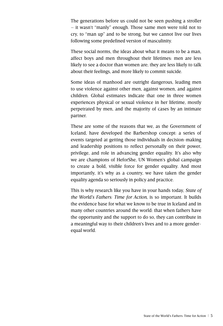The generations before us could not be seen pushing a stroller – it wasn't "manly" enough. Those same men were told not to cry, to "man up" and to be strong, but we cannot live our lives following some predefined version of masculinity.

These social norms, the ideas about what it means to be a man, affect boys and men throughout their lifetimes: men are less likely to see a doctor than women are; they are less likely to talk about their feelings, and more likely to commit suicide.

Some ideas of manhood are outright dangerous, leading men to use violence against other men, against women, and against children. Global estimates indicate that one in three women experiences physical or sexual violence in her lifetime, mostly perpetrated by men, and the majority of cases by an intimate partner.

These are some of the reasons that we, as the Government of Iceland, have developed the Barbershop concept: a series of events targeted at getting those individuals in decision-making and leadership positions to reflect personally on their power, privilege, and role in advancing gender equality. It's also why we are champions of HeforShe, UN Women's global campaign to create a bold, visible force for gender equality. And most importantly, it's why as a country, we have taken the gender equality agenda so seriously in policy and practice.

This is why research like you have in your hands today, *State of the World's Fathers: Time for Action*, is so important. It builds the evidence base for what we know to be true in Iceland and in many other countries around the world: that when fathers have the opportunity and the support to do so, they can contribute in a meaningful way to their children's lives and to a more genderequal world.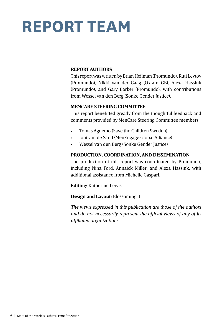## **REPORT TEAM**

#### **REPORT AUTHORS**

This report was written by Brian Heilman (Promundo), Ruti Levtov (Promundo), Nikki van der Gaag (Oxfam GB), Alexa Hassink (Promundo), and Gary Barker (Promundo), with contributions from Wessel van den Berg (Sonke Gender Justice).

#### **MENCARE STEERING COMMITTEE**

This report benefitted greatly from the thoughtful feedback and comments provided by MenCare Steering Committee members:

- • Tomas Agnemo (Save the Children Sweden)
- • Joni van de Sand (MenEngage Global Alliance)
- Wessel van den Berg (Sonke Gender Justice)

#### **PRODUCTION, COORDINATION, AND DISSEMINATION**

The production of this report was coordinated by Promundo, including Nina Ford, Annaick Miller, and Alexa Hassink, with additional assistance from Michelle Gaspari.

**Editing:** Katherine Lewis

#### **Design and Layout:** Blossoming.it

*The views expressed in this publication are those of the authors and do not necessarily represent the official views of any of its affiliated organizations.*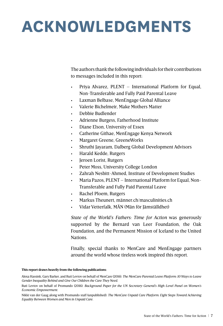## **ACKNOWLEDGMENTS**

The authors thank the following individuals for their contributions to messages included in this report:

- Priya Alvarez,  $PLENT International$  Platform for Equal, Non-Transferable and Fully Paid Parental Leave
- Laxman Belbase, MenEngage Global Alliance
- Valerie Bichelmeir, Make Mothers Matter
- Debbie Budlender
- Adrienne Burgess, Fatherhood Institute
- • Diane Elson, University of Essex
- Catherine Githae, MenEngage Kenya Network
- Margaret Greene, GreeneWorks
- Shruthi Jayaram, Dalberg Global Development Advisors
- Harald Kedde, Rutgers
- Jeroen Lorist, Rutgers
- Peter Moss, University College London
- Zahrah Nesbitt-Ahmed, Institute of Development Studies
- Maria Pazos, PLENT International Platform for Equal, Non-Transferable and Fully Paid Parental Leave
- • Rachel Ploem, Rutgers
- Markus Theunert, männer.ch/masculinities.ch
- • Vidar Vetterfalk, MÄN (Män för Jämställdhet)

*State of the World's Fathers: Time for Action* was generously supported by the Bernard van Leer Foundation, the Oak Foundation, and the Permanent Mission of Iceland to the United **Nations** 

Finally, special thanks to MenCare and MenEngage partners around the world whose tireless work inspired this report.

#### **This report draws heavily from the following publications:**

Alexa Hassink, Gary Barker, and Ruti Levtov on behalf of MenCare (2016). *The MenCare Parental Leave Platform: 10 Ways to Leave Gender Inequality Behind and Give Our Children the Care They Need.*

Ruti Levtov on behalf of Promundo (2016). *Background Paper for the UN Secretary-General's High-Level Panel on Women's Economic Empowerment.*

Nikki van der Gaag along with Promundo staff (unpublished). *The MenCare Unpaid Care Platform: Eight Steps Toward Achieving Equality Between Women and Men in Unpaid Care.*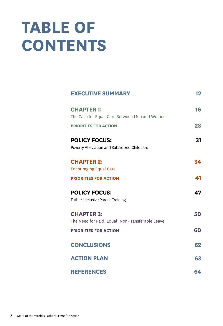## **Table of Contents**

| <b>EXECUTIVE SUMMARY</b>                                              | 12 |
|-----------------------------------------------------------------------|----|
| <b>CHAPTER 1:</b><br>The Case for Equal Care Between Men and Women    | 16 |
| <b>PRIORITIES FOR ACTION</b>                                          | 28 |
| <b>POLICY FOCUS:</b><br>Poverty Alleviation and Subsidized Childcare  | 31 |
| <b>CHAPTER 2:</b><br><b>Encouraging Equal Care</b>                    | 34 |
| <b>PRIORITIES FOR ACTION</b>                                          | 41 |
| <b>POLICY FOCUS:</b><br>Father-Inclusive Parent Training              | 47 |
| <b>CHAPTER 3:</b><br>The Need for Paid, Equal, Non-Transferable Leave | 50 |
| <b>PRIORITIES FOR ACTION</b>                                          | 60 |
| <b>CONCLUSIONS</b>                                                    | 62 |
| <b>ACTION PLAN</b>                                                    | 63 |
| <b>REFERENCES</b>                                                     | 64 |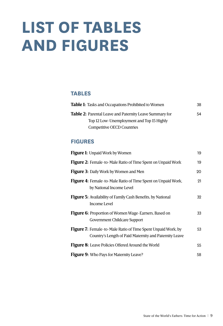## **List of Tables and Figures**

#### **Tables**

| <b>Table 1:</b> Tasks and Occupations Prohibited to Women | 38 |
|-----------------------------------------------------------|----|
| Table 2: Parental Leave and Paternity Leave Summary for   | 54 |
| Top 12 Low-Unemployment and Top 15 Highly                 |    |
| Competitive OECD Countries                                |    |

#### **Figures**

| <b>Figure 1:</b> Unpaid Work by Women                                                                                         | 19 |
|-------------------------------------------------------------------------------------------------------------------------------|----|
| <b>Figure 2:</b> Female-to-Male Ratio of Time Spent on Unpaid Work                                                            | 19 |
| <b>Figure 3:</b> Daily Work by Women and Men                                                                                  | 20 |
| <b>Figure 4:</b> Female-to-Male Ratio of Time Spent on Unpaid Work,<br>by National Income Level                               | 21 |
| <b>Figure 5:</b> Availability of Family Cash Benefits, by National<br>Income Level                                            | 32 |
| <b>Figure 6:</b> Proportion of Women Wage-Earners, Based on<br>Government Childcare Support                                   | 33 |
| <b>Figure 7:</b> Female-to-Male Ratio of Time Spent Unpaid Work, by<br>Country's Length of Paid Maternity and Paternity Leave | 53 |
| <b>Figure 8:</b> Leave Policies Offered Around the World                                                                      | 55 |
| <b>Figure 9:</b> Who Pays for Maternity Leave?                                                                                | 58 |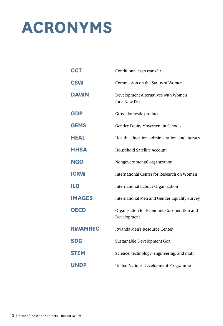## **Acronyms**

| <b>CCT</b>     | Conditional cash transfer                                 |
|----------------|-----------------------------------------------------------|
| <b>CSW</b>     | Commission on the Status of Women                         |
| <b>DAWN</b>    | Development Alternatives with Women<br>for a New Era      |
| <b>GDP</b>     | Gross domestic product                                    |
| <b>GEMS</b>    | Gender Equity Movement in Schools                         |
| <b>HEAL</b>    | Health, education, administration, and literacy           |
| <b>HHSA</b>    | Household Satellite Account                               |
| <b>NGO</b>     | Nongovernmental organization                              |
| <b>ICRW</b>    | International Center for Research on Women                |
| <b>ILO</b>     | International Labour Organization                         |
| <b>IMAGES</b>  | International Men and Gender Equality Survey              |
| <b>OECD</b>    | Organisation for Economic Co-operation and<br>Development |
| <b>RWAMREC</b> | Rwanda Men's Resource Center                              |
| <b>SDG</b>     | Sustainable Development Goal                              |
| <b>STEM</b>    | Science, technology, engineering, and math                |
| UNDP           | United Nations Development Programme                      |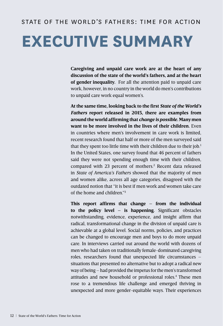#### STATE OF THE WORLD'S FATHERS: TIME FOR ACTION

## **Executive Summary**

**Caregiving and unpaid care work are at the heart of any discussion of the state of the world's fathers, and at the heart of gender inequality.** For all the attention paid to unpaid care work, however, in no country in the world do men's contributions to unpaid care work equal women's.

**At the same time, looking back to the first** *State of the World's Fathers* **report released in 2015, there are examples from around the world affirming that** *change is possible.* **Many men want to be more involved in the lives of their children.** Even in countries where men's involvement in care work is limited, recent research found that half or more of the men surveyed said that they spent too little time with their children due to their  $job.^1$ In the United States, one survey found that 46 percent of fathers said they were not spending enough time with their children, compared with 23 percent of mothers.<sup>2</sup> Recent data released in *State of America's Fathers* showed that the majority of men and women alike, across all age categories, disagreed with the outdated notion that "it is best if men work and women take care of the home and children."3

**This report affirms that change – from the individual to the policy level – is happening.** Significant obstacles notwithstanding, evidence, experience, and insight affirm that radical, transformational change in the division of unpaid care is achievable at a global level. Social norms, policies, and practices can be changed to encourage men and boys to do more unpaid care. In interviews carried out around the world with dozens of men who had taken on traditionally female-dominated caregiving roles, researchers found that unexpected life circumstances – situations that presented no alternative but to adopt a radical new way of being – had provided the impetus for the men's transformed attitudes and new household or professional roles.4 These men rose to a tremendous life challenge and emerged thriving in unexpected and more gender-equitable ways. Their experiences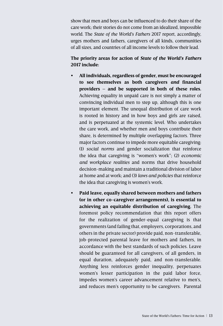show that men and boys can be influenced to do their share of the care work; their stories do not come from an idealized, impossible world. The *State of the World's Fathers* 2017 report, accordingly, urges mothers and fathers, caregivers of all kinds, communities of all sizes, and countries of all income levels to follow their lead.

#### **The priority areas for action of** *State of the World's Fathers*  **2017 include:**

- **• All individuals, regardless of gender, must be encouraged to see themselves as both caregivers** *and* **financial providers – and be supported in both of these roles.**  Achieving equality in unpaid care is not simply a matter of convincing individual men to step up, although this is one important element. The unequal distribution of care work is rooted in history and in how boys and girls are raised, and is perpetuated at the systemic level. Who undertakes the care work, and whether men and boys contribute their share, is determined by multiple overlapping factors. Three major factors continue to impede more equitable caregiving: (1) *social norms* and gender socialization that reinforce the idea that caregiving is "women's work"; (2) *economic and workplace realities* and norms that drive household decision-making and maintain a traditional division of labor at home and at work; and (3) *laws and policies* that reinforce the idea that caregiving is women's work.
- **• Paid leave, equally shared between mothers and fathers (or in other co-caregiver arrangements), is essential to achieving an equitable distribution of caregiving.** The foremost policy recommendation that this report offers for the realization of gender-equal caregiving is that governments (and failing that, employers, corporations, and others in the private sector) provide paid, non-transferable, job-protected parental leave for mothers and fathers, in accordance with the best standards of such policies. Leave should be guaranteed for all caregivers, of all genders, in equal duration, adequately paid, and non-transferable. Anything less reinforces gender inequality, perpetuates women's lesser participation in the paid labor force, impedes women's career advancement relative to men's, and reduces men's opportunity to be caregivers. Parental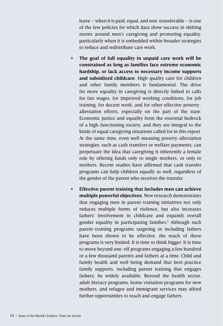leave – when it is paid, equal, and non-transferable – is one of the few policies for which data show success in shifting norms around men's caregiving and promoting equality, particularly when it is embedded within broader strategies to reduce and redistribute care work.

- **• The goal of full equality in unpaid care work will be constrained as long as families face extreme economic hardship, or lack access to necessary income supports and subsidized childcare**. High-quality care for children and other family members is fundamental. The drive for more equality in caregiving is directly linked to calls for fair wages, for improved working conditions, for job training, for decent work, and for other effective povertyalleviation efforts, especially on the part of the state. Economic justice and equality form the essential bedrock of a high-functioning society, and they are integral to the kinds of equal caregiving situations called for in this report. At the same time, even well-meaning poverty-alleviation strategies, such as cash transfers or welfare payments, can perpetuate the idea that caregiving is inherently a female role by offering funds only to single mothers, or only to mothers. Recent studies have affirmed that cash transfer programs can help children equally as well, regardless of the gender of the parent who receives the transfer.
- **• Effective parent training that includes men can achieve multiple powerful objectives.** New research demonstrates that engaging men in parent-training initiatives not only reduces multiple forms of violence, but also increases fathers' involvement in childcare and expands overall gender equality in participating families.<sup>5</sup> Although such parent-training programs targeting or including fathers have been shown to be effective, the reach of these programs is very limited. It is time to think bigger. It is time to move beyond one-off programs engaging a few hundred or a few thousand parents and fathers at a time. Child and family health and well-being demand that best-practice family supports, including parent training that engages fathers, be widely available. Beyond the health sector, adult literacy programs, home visitation programs for new mothers, and refugee and immigrant services may afford further opportunities to reach and engage fathers.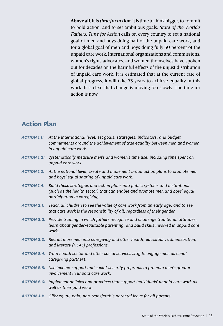**Above all, it is** *time for action.* It is time to think bigger, to commit to bold action, and to set ambitious goals. *State of the World's Fathers: Time for Action* calls on every country to set a national goal of men and boys doing half of the unpaid care work, and for a global goal of men and boys doing fully 50 percent of the unpaid care work. International organizations and commissions, women's rights advocates, and women themselves have spoken out for decades on the harmful effects of the unjust distribution of unpaid care work. It is estimated that at the current rate of global progress, it will take 75 years to achieve equality in this work. It is clear that change is moving too slowly. The time for action is now.

#### **Action Plan**

| <b>ACTION 1.1:</b> | At the international level, set goals, strategies, indicators, and budget<br>commitments around the achievement of true equality between men and women<br>in unpaid care work.                          |
|--------------------|---------------------------------------------------------------------------------------------------------------------------------------------------------------------------------------------------------|
| <b>ACTION 1.2:</b> | Systematically measure men's and women's time use, including time spent on<br>unpaid care work.                                                                                                         |
|                    | <b>ACTION 1.3:</b> At the national level, create and implement broad action plans to promote men<br>and boys' equal sharing of unpaid care work.                                                        |
|                    | ACTION 1.4: Build these strategies and action plans into public systems and institutions<br>(such as the health sector) that can enable and promote men and boys' equal<br>participation in caregiving. |
| <b>ACTION 2.1:</b> | Teach all children to see the value of care work from an early age, and to see<br>that care work is the responsibility of all, regardless of their gender.                                              |
|                    | ACTION 2.2: Provide training in which fathers recognize and challenge traditional attitudes,<br>learn about gender-equitable parenting, and build skills involved in unpaid care<br>work.               |
|                    | ACTION 2.3: Recruit more men into caregiving and other health, education, administration,<br>and literacy (HEAL) professions.                                                                           |
|                    | ACTION 2.4: Train health sector and other social services staff to engage men as equal<br>caregiving partners.                                                                                          |
|                    | <b>ACTION 2.5:</b> Use income-support and social-security programs to promote men's greater<br>involvement in unpaid care work.                                                                         |
|                    | ACTION 2.6: Implement policies and practices that support individuals' unpaid care work as<br>well as their paid work.                                                                                  |
| <b>ACTION 3.1:</b> | Offer equal, paid, non-transferable parental leave for all parents.                                                                                                                                     |

State of the World's Fathers: Time for Action | 15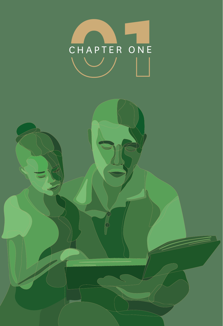

 $\vec{\varphi}$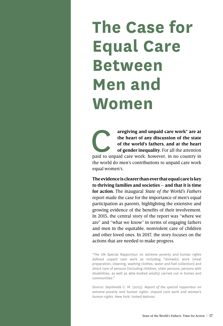## **The Case for Equal Care Between Men and Women**

aregiving and unpaid care work<sup>\*</sup> are at the heart of any discussion of the state of the world's fathers, and at the heart of gender inequality. For all the attention paid to unpaid care work, however, in no country in **the heart of any discussion of the state of the world's fathers, and at the heart of gender inequality.** For all the attention the world do men's contributions to unpaid care work equal women's.

**The evidence is clearer than ever that equal care is key to thriving families and societies – and that it is time for action.** The inaugural *State of the World's Fathers* report made the case for the importance of men's equal participation as parents, highlighting the extensive and growing evidence of the benefits of their involvement. In 2015, the central story of the report was "where we are" and "what we know" in terms of engaging fathers and men in the equitable, nonviolent care of children and other loved ones. In 2017, the story focuses on the actions that are needed to make progress.

\*The UN Special Rapporteur on extreme poverty and human rights defined unpaid care work as including "domestic work (meal preparation, cleaning, washing clothes, water and fuel collection) and direct care of persons (including children, older persons, persons with disabilities, as well as able-bodied adults) carried out in homes and communities."

Source: Sepúlveda C. M. (2013). *Report of the special rapporteur on extreme poverty and human rights: Unpaid care work and women's human rights*. New York: United Nations.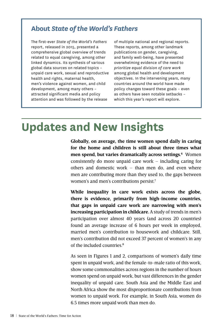#### **About** *State of the World's Fathers*

The first-ever *State of the World's Fathers* report, released in 2015, presented a comprehensive global overview of trends related to equal caregiving, among other linked dynamics. Its synthesis of various global data sources on related topics – unpaid care work, sexual and reproductive health and rights, maternal health, men's violence against women, and child development, among many others – attracted significant media and policy attention and was followed by the release

of multiple national and regional reports. These reports, among other landmark publications on gender, caregiving, and family well-being, have presented overwhelming evidence of the need to *prioritize equal division of care work* among global health and development objectives. In the intervening years, many countries around the world have made policy changes toward these goals – even as others have seen notable setbacks – which this year's report will explore.

#### **Updates and New Insights**

**Globally, on average, the time women spend daily in caring for the home and children is still about three times what men spend, but varies dramatically across settings.6** Women consistently do more unpaid care work – including caring for others and domestic work – than men do, and even where men are contributing more than they used to, the gaps between women's and men's contributions persist.7

**While inequality in care work exists across the globe, there is evidence, primarily from high-income countries, that gaps in unpaid care work are narrowing with men's increasing participation in childcare.** A study of trends in men's participation over almost 40 years (and across 20 countries) found an average increase of 6 hours per week in employed, married men's contribution to housework and childcare. Still, men's contribution did not exceed 37 percent of women's in any of the included countries.<sup>8</sup>

As seen in Figures 1 and 2, comparisons of women's daily time spent in unpaid work, and the female-to-male ratio of this work, show some commonalities across regions in the number of hours women spend on unpaid work, but vast differences in the gender inequality of unpaid care. South Asia and the Middle East and North Africa show the most disproportionate contributions from women to unpaid work. For example, in South Asia, women do 6.5 times more unpaid work than men do.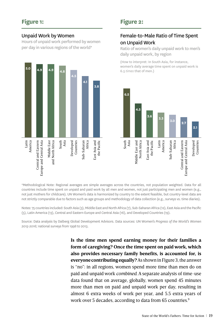#### Unpaid Work by Women

Hours of unpaid work performed by women per day in various regions of the world\*



#### **Figure 2:**

#### Female-to-Male Ratio of Time Spent on Unpaid Work

Ratio of women's daily unpaid work to men's daily unpaid work, by region

(How to interpret: In South Asia, for instance, women's daily average time spent on unpaid work is 6.5 *times* that of men.)



\*Methodological Note: Regional averages are simple averages across the countries, not population weighted. Data for all countries include time spent on unpaid and paid work by all men and women, not just participating men and women (e.g., not just mothers for childcare). UN Women's data is harmonized by country to the extent feasible, but country-level data are not strictly comparable due to factors such as age groups and methodology of data collection (e.g., surveys vs. time diaries).

Notes: 75 countries included: South Asia (3), Middle East and North Africa (7), Sub-Saharan Africa (12), East Asia and the Pacific (5), Latin America (13), Central and Eastern Europe and Central Asia (16), and Developed Countries (19).

Source: Data analysis by Dalberg Global Development Advisors. Data sources: UN Women's *Progress of the World's Women 2015-2016;* national surveys from 1998 to 2013.

> **Is the time men spend earning money for their families a form of caregiving? Once the time spent on paid work, which also provides necessary family benefits, is accounted for, is everyone contributing equally?** As shown in Figure 3, the answer is "no": in all regions, women spend more time than men do on paid and unpaid work *combined*. A separate analysis of time-use data found that on average, globally, women spend 45 minutes more than men on paid and unpaid work per day, resulting in almost 6 extra weeks of work per year, and 5.5 extra years of work over 5 decades, according to data from 65 countries. $9$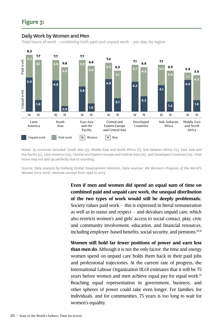#### Daily Work by Women and Men

Total hours of work – combining both paid and unpaid work – per day, by region



Notes: 75 countries included: South Asia (3), Middle East and North Africa (7), Sub-Saharan Africa (12), East Asia and the Pacific (5), Latin America (13), Central and Eastern Europe and Central Asia (16), and Developed Countries (19). Total hours may not add up perfectly due to rounding.

Source: Data analysis by Dalberg Global Development Advisors. Data sources: UN Women's *Progress of the World's Women 2015-2016;* national surveys from 1998 to 2013.

> **Even if men and women did spend an equal sum of time on combined paid and unpaid care work, the unequal distribution of the two types of work would still be deeply problematic.**  Society values paid work – this is expressed in literal remuneration as well as in status and respect  $-$  and devalues unpaid care, which also restricts women's and girls' access to social contact, play, civic and community involvement, education, and financial resources, including employer-based benefits, social security, and pensions.<sup>10,11</sup>

> **Women still hold far fewer positions of power and earn less than men do.** Although it is not the only factor, the time and energy women spend on unpaid care holds them back in their paid jobs and professional trajectories. At the current rate of progress, the International Labour Organization (ILO) estimates that it will be 75 years before women and men achieve equal pay for equal work.<sup>12</sup> Reaching equal representation in government, business, and other spheres of power could take even longer. For families, for individuals, and for communities, 75 years is too long to wait for women's equality.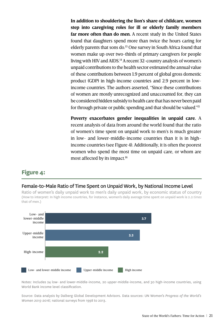**In addition to shouldering the lion's share of childcare, women step into caregiving roles for ill or elderly family members far more often than do men.** A recent study in the United States found that daughters spend more than twice the hours caring for elderly parents that sons do.<sup>13</sup> One survey in South Africa found that women make up over two-thirds of primary caregivers for people living with HIV and AIDS.<sup>14</sup> A recent 32-country analysis of women's unpaid contributions to the health sector estimated the annual value of these contributions between 1.9 percent of global gross domestic product (GDP) in high-income countries and 2.9 percent in lowincome countries. The authors asserted, "Since these contributions of women are mostly unrecognized and unaccounted for, they can be considered hidden subsidy to health care that has never been paid for through private or public spending and that should be valued."15

**Poverty exacerbates gender inequalities in unpaid care.** A recent analysis of data from around the world found that the ratio of women's time spent on unpaid work to men's is much greater in low- and lower-middle-income countries than it is in highincome countries (see Figure 4). Additionally, it is often the poorest women who spend the most time on unpaid care, or whom are most affected by its impact.16

#### **Figure 4:**

#### Female-to-Male Ratio of Time Spent on Unpaid Work, by National Income Level

Ratio of women's daily unpaid work to men's daily unpaid work, by economic status of country (How to interpret: In high income countries, for instance, women's daily average time spent on unpaid work is 2.2 *times* that of men.)



Notes: Includes 24 low- and lower-middle-income, 20 upper-middle-income, and 30 high-income countries, using World Bank income level classification.

Source: Data analysis by Dalberg Global Development Advisors. Data sources: UN Women's *Progress of the World's Women 2015-2016;* national surveys from 1998 to 2013.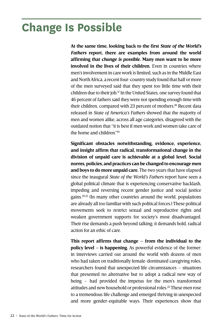## **Change Is Possible**

**At the same time, looking back to the first** *State of the World's Fathers* **report, there are examples from around the world affirming that** *change is possible.* **Many men want to be more involved in the lives of their children.** Even in countries where men's involvement in care work is limited, such as in the Middle East and North Africa, a recent four-country study found that half or more of the men surveyed said that they spent too little time with their children due to their job.17 In the United States, one survey found that 46 percent of fathers said they were not spending enough time with their children, compared with 23 percent of mothers.<sup>18</sup> Recent data released in *State of America's Fathers* showed that the majority of men and women alike, across all age categories, disagreed with the outdated notion that "it is best if men work and women take care of the home and children."<sup>19</sup>

**Significant obstacles notwithstanding, evidence, experience, and insight affirm that radical, transformational change in the division of unpaid care is achievable at a global level. Social norms, policies, and practices can be changed to encourage men and boys to do more unpaid care.** The two years that have elapsed since the inaugural *State of the World's Fathers* report have seen a global political climate that is experiencing conservative backlash, impeding and reversing recent gender justice and social justice gains.20,21 (In many other countries around the world, populations are already all too familiar with such political forces.) These political movements seek to restrict sexual and reproductive rights and weaken government supports for society's most disadvantaged. Their rise demands a push beyond talking; it demands bold, radical action for an ethic of care.

**This report affirms that change – from the individual to the policy level – is happening.** As powerful evidence of the former: in interviews carried out around the world with dozens of men who had taken on traditionally female-dominated caregiving roles, researchers found that unexpected life circumstances – situations that presented no alternative but to adopt a radical new way of being – had provided the impetus for the men's transformed attitudes and new household or professional roles.<sup>22</sup> These men rose to a tremendous life challenge and emerged thriving in unexpected and more gender-equitable ways. Their experiences show that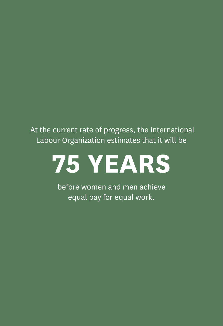At the current rate of progress, the International Labour Organization estimates that it will be

## **75 years**

before women and men achieve equal pay for equal work.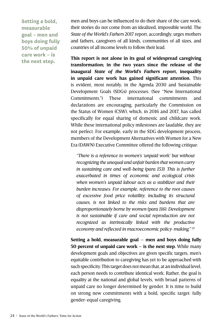**Setting a bold, measurable goal – men and boys doing fully 50% of unpaid care work – is the next step.**

men and boys can be influenced to do their share of the care work; their stories do not come from an idealized, impossible world. The *State of the World's Fathers* 2017 report, accordingly, urges mothers and fathers, caregivers of all kinds, communities of all sizes, and countries of all income levels to follow their lead.

**This report is not alone in its goal of widespread caregiving transformation; in the two years since the release of the inaugural** *State of the World's Fathers* **report, inequality in unpaid care work has gained significant attention.** This is evident, most notably, in the Agenda 2030 and Sustainable Development Goals (SDGs) processes. (See "New International Commitments.") These international commitments and declarations are encouraging, particularly the Commission on the Status of Women (CSW), which, in 2016 and 2017, has called specifically for equal sharing of domestic and childcare work. While these international policy milestones are laudable, they are not perfect. For example, early in the SDG development process, members of the Development Alternatives with Women for a New Era (DAWN) Executive Committee offered the following critique:

*"There is a reference to women's 'unpaid work' but without recognizing the unequal and unfair burden that women carry in sustaining care and well-being (para 153). This is further exacerbated in times of economic and ecological crisis when women's unpaid labour acts as a stabilizer and their burden increases. For example, reference to the root causes of excessive food price volatility, including its structural causes, is not linked to the risks and burdens that are disproportionately borne by women (para 116). Development is not sustainable if care and social reproduction are not recognized as intrinsically linked with the productive economy and reflected in macroeconomic policy-making." 23*

**Setting a bold, measurable goal – men and boys doing fully 50 percent of unpaid care work – is the next step.** While many development goals and objectives are given specific targets, men's equitable contribution to caregiving has yet to be approached with such specificity. This target does not mean that, at an individual level, each person needs to contribute identical work. Rather, the goal is equality at the national and global levels, with broad patterns of unpaid care no longer determined by gender. It is time to build on strong new commitments with a bold, specific target: fully gender-equal caregiving.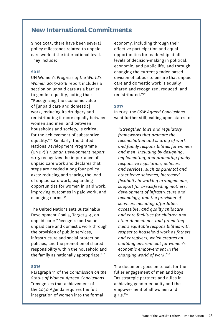#### **New International Commitments**

Since 2015, there have been several policy milestones related to unpaid care work at the international level. They include:

#### **2015**

UN Women's *Progress of the World's Women 2015–2016* report includes a section on unpaid care as a barrier to gender equality, noting that: "Recognizing the economic value of [unpaid care and domestic] work, reducing its drudgery and redistributing it more equally between women and men, and between households and society, is critical for the achievement of substantive equality."24 Similarly, the United Nations Development Programme (UNDP)'s *Human Development Report 2015* recognizes the importance of unpaid care work and declares that steps are needed along four policy axes: reducing and sharing the load of unpaid care work, expanding opportunities for women in paid work, improving outcomes in paid work, and changing norms.<sup>25</sup>

The United Nations sets Sustainable Development Goal 5, Target 5.4, on unpaid care: "Recognize and value unpaid care and domestic work through the provision of public services, infrastructure and social protection policies, and the promotion of shared responsibility within the household and the family as nationally appropriate."26

#### **2016**

Paragraph 11 of the *Commission on the Status of Women Agreed Conclusions* "recognizes that achievement of the 2030 Agenda requires the full integration of women into the formal

economy, including through their effective participation and equal opportunities for leadership at all levels of decision-making in political, economic, and public life, and through changing the current gender-based division of labour to ensure that unpaid care and domestic work is equally shared and recognized, reduced, and redistributed."27

#### **2017**

In 2017, the *CSW Agreed Conclusions* went further still, calling upon states to:

*"Strengthen laws and regulatory frameworks that promote the reconciliation and sharing of work and family responsibilities for women and men, including by designing, implementing, and promoting family responsive legislation, policies, and services, such as parental and other leave schemes, increased flexibility in working arrangements, support for breastfeeding mothers, development of infrastructure and technology, and the provision of services, including affordable, accessible, and quality childcare and care facilities for children and other dependents, and promoting men's equitable responsibilities with respect to household work as fathers and caregivers, which creates an enabling environment for women's economic empowerment in the changing world of work."28*

The document goes on to call for the fuller engagement of men and boys "as strategic partners and allies in achieving gender equality and the empowerment of all women and girls."29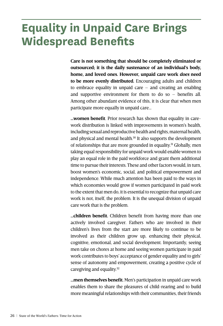## **Equality in Unpaid Care Brings Widespread Benefits**

**Care is not something that should be completely eliminated or outsourced; it is the daily sustenance of an individual's body, home, and loved ones. However, unpaid care work** *does* **need to be more evenly distributed.** Encouraging adults and children to embrace equality in unpaid care – and creating an enabling and supportive environment for them to do so – benefits all. Among other abundant evidence of this, it is clear that when men participate more equally in unpaid care…

**…women benefit**. Prior research has shown that equality in carework distribution is linked with improvements in women's health, including sexual and reproductive health and rights, maternal health, and physical and mental health.<sup>30</sup> It also supports the development of relationships that are more grounded in equality.<sup>31</sup> Globally, men taking equal responsibility for unpaid work would enable women to play an equal role in the paid workforce and grant them additional time to pursue their interests. These and other factors would, in turn, boost women's economic, social, and political empowerment and independence. While much attention has been paid to the ways in which economies would grow if women participated in paid work to the extent that men do, it is essential to recognize that unpaid care work is not, itself, the problem. It is the unequal division of unpaid care work that is the problem.

**…children benefit.** Children benefit from having more than one actively involved caregiver. Fathers who are involved in their children's lives from the start are more likely to continue to be involved as their children grow up, enhancing their physical, cognitive, emotional, and social development. Importantly, seeing men take on chores at home and seeing women participate in paid work contributes to boys' acceptance of gender equality and to girls' sense of autonomy and empowerment, creating a positive cycle of caregiving and equality.32

**…men themselves benefit.** Men's participation in unpaid care work enables them to share the pleasures of child-rearing and to build more meaningful relationships with their communities, their friends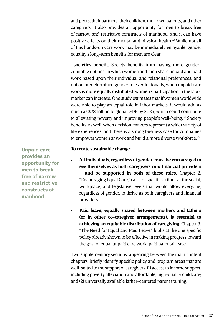and peers, their partners, their children, their own parents, and other caregivers. It also provides an opportunity for men to break free of narrow and restrictive constructs of manhood, and it can have positive effects on their mental and physical health.<sup>33</sup> While not all of this hands-on care work may be immediately enjoyable, gender equality's long-term benefits for men are clear.

**…societies benefit.** Society benefits from having more genderequitable options, in which women and men share unpaid and paid work based upon their individual and relational preferences, and not on predetermined gender roles. Additionally, when unpaid care work is more equally distributed, women's participation in the labor market can increase. One study estimates that if women worldwide were able to play an equal role in labor markets, it would add as much as \$28 trillion to global GDP by 2025, which could contribute to alleviating poverty and improving people's well-being.<sup>34</sup> Society benefits, as well, when decision-makers represent a wider variety of life experiences, and there is a strong business case for companies to empower women at work and build a more diverse workforce.<sup>35</sup>

#### **To create sustainable change:**

All individuals, regardless of gender, must be encouraged to **see themselves as both caregivers** *and* **financial providers – and be supported in both of these roles.** Chapter 2, "Encouraging Equal Care," calls for specific actions at the social, workplace, and legislative levels that would allow everyone, regardless of gender, to thrive as both caregivers and financial providers.

Paid leave, equally shared between mothers and fathers **(or in other co-caregiver arrangements), is essential to achieving an equitable distribution of caregiving.** Chapter 3, "The Need for Equal and Paid Leave," looks at the one specific policy already shown to be effective in making progress toward the goal of equal unpaid care work: paid parental leave.

Two supplementary sections, appearing between the main content chapters, briefly identify specific policy and program areas that are well-suited to the support of caregivers: (1) access to income support, including poverty alleviation and affordable, high-quality childcare; and (2) universally available father-centered parent training.

**Unpaid care provides an opportunity for men to break free of narrow and restrictive constructs of manhood.**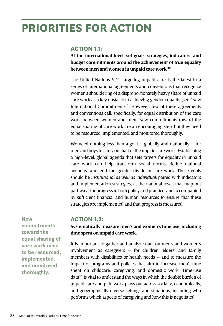### **Priorities For Action**

#### **ACTION 1.1:**

**At the international level, set goals, strategies, indicators, and budget commitments around the achievement of true equality between men and women in unpaid care work.36**

The United Nations SDG targeting unpaid care is the latest in a series of international agreements and conventions that recognize women's shouldering of a disproportionately heavy share of unpaid care work as a key obstacle to achieving gender equality (see "New International Commitments"). However, few of these agreements and conventions call, specifically, for equal distribution of the care work between women and men. New commitments toward the equal sharing of care work are an encouraging step, but they need to be resourced, implemented, and monitored thoroughly.

We need nothing less than a goal  $-$  globally and nationally  $-$  for men and boys to carry out half of the unpaid care work. Establishing a high-level, global agenda that sets targets for equality in unpaid care work can help transform social norms, define national agendas, and end the gender divide in care work. These goals should be *institutional as well as individual*; paired with indicators and implementation strategies, at the national level, that map out pathways for progress in both policy and practice; and accompanied by sufficient financial and human resources to ensure that these strategies are implemented and that progress is measured.

**New** 

**commitments toward the equal sharing of care work need to be resourced, implemented, and monitored thoroughly.**

#### **ACTION 1.2:**

#### **Systematically measure men's and women's time use, including time spent on unpaid care work.**

It is important to gather and analyze data on men's and women's involvement as caregivers – for children, elders, and family members with disabilities or health needs – and to measure the impact of programs and policies that aim to increase men's time spent on childcare, caregiving, and domestic work. Time-use  $data^{37}$  is vital to understand the ways in which the double burden of unpaid care and paid work plays out across socially, economically, and geographically diverse settings and situations, including who performs which aspects of caregiving and how this is negotiated.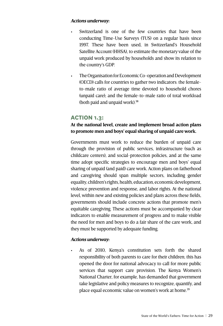#### *Actions underway:*

- Switzerland is one of the few countries that have been conducting Time-Use Surveys (TUS) on a regular basis since 1997. These have been used, in Switzerland's Household Satellite Account (HHSA), to estimate the monetary value of the unpaid work produced by households and show its relation to the country's GDP.
- The Organisation for Economic Co-operation and Development (OECD) calls for countries to gather two indicators: the femaleto-male ratio of average time devoted to household chores (unpaid care); and the female-to-male ratio of total workload (both paid and unpaid work).<sup>38</sup>

#### **ACTION 1.3:**

#### **At the national level, create and implement broad action plans to promote men and boys' equal sharing of unpaid care work.**

Governments must work to reduce the burden of unpaid care through the provision of public services, infrastructure (such as childcare centers), and social-protection policies, and at the same time adopt specific strategies to encourage men and boys' equal sharing of unpaid (and paid) care work. Action plans on fatherhood and caregiving should span multiple sectors, including gender equality, children's rights, health, education, economic development, violence prevention and response, and labor rights. At the national level, within new and existing policies and plans across these fields, governments should include concrete actions that promote men's equitable caregiving. These actions must be accompanied by clear indicators to enable measurement of progress and to make visible the need for men and boys to do a fair share of the care work, and they must be supported by adequate funding.

#### *Actions underway:*

As of 2010, Kenya's constitution sets forth the shared responsibility of both parents to care for their children; this has opened the door for national advocacy to call for more public services that support care provision. The Kenya Women's National Charter, for example, has demanded that government take legislative and policy measures to recognize, quantify, and place equal economic value on women's work at home.<sup>39</sup>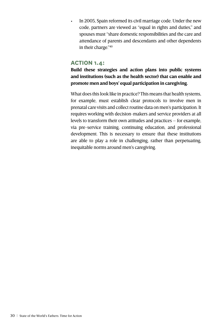In 2005, Spain reformed its civil marriage code. Under the new code, partners are viewed as "equal in rights and duties," and spouses must "share domestic responsibilities and the care and attendance of parents and descendants and other dependents in their charge."40

#### **ACTION 1.4:**

**Build these strategies and action plans into public systems and institutions (such as the health sector) that can enable and promote men and boys' equal participation in caregiving.** 

What does this look like in practice? This means that health systems, for example, must establish clear protocols to involve men in prenatal care visits and collect routine data on men's participation. It requires working with decision-makers and service providers at all levels to transform their own attitudes and practices – for example, via pre-service training, continuing education, and professional development. This is necessary to ensure that these institutions are able to play a role in challenging, rather than perpetuating, inequitable norms around men's caregiving.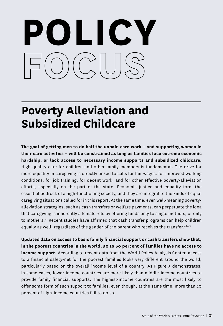# **POLICY**

## **Poverty Alleviation and Subsidized Childcare**

**The goal of getting men to do half the unpaid care work – and supporting women in their care activities – will be constrained as long as families face extreme economic hardship, or lack access to necessary income supports and subsidized childcare.** High-quality care for children and other family members is fundamental. The drive for more equality in caregiving is directly linked to calls for fair wages, for improved working conditions, for job training, for decent work, and for other effective poverty-alleviation efforts, especially on the part of the state. Economic justice and equality form the essential bedrock of a high-functioning society, and they are integral to the kinds of equal caregiving situations called for in this report. At the same time, even well-meaning povertyalleviation strategies, such as cash transfers or welfare payments, can perpetuate the idea that caregiving is inherently a female role by offering funds only to single mothers, or only to mothers.<sup>41</sup> Recent studies have affirmed that cash transfer programs can help children equally as well, regardless of the gender of the parent who receives the transfer.<sup>42,43</sup>

**Updated data on access to basic family financial support or cash transfers show that, in the poorest countries in the world, 50 to 60 percent of families have no access to income support.** According to recent data from the World Policy Analysis Center, access to a financial safety-net for the poorest families looks very different around the world, particularly based on the overall income level of a country. As Figure 5 demonstrates, in some cases, lower-income countries are more likely than middle-income countries to provide family financial supports. The highest-income countries are the most likely to offer some form of such support to families, even though, at the same time, more than 20 percent of high-income countries fail to do so.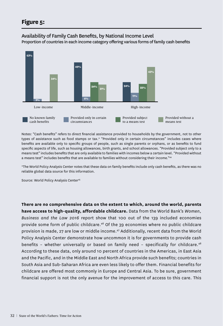#### Availability of Family Cash Benefits, by National Income Level

Proportion of countries in each income category offering various forms of family cash benefits



Notes: "Cash benefits" refers to direct financial assistance provided to households by the government, not to other types of assistance such as food stamps or tax.\* "Provided only in certain circumstances" includes cases where benefits are available only to specific groups of people, such as single parents or orphans, or as benefits to fund specific aspects of life, such as housing allowances, birth grants, and school allowances. "Provided subject only to a means test" includes benefits that are only available to families with incomes below a certain level. "Provided without a means test" includes benefits that are available to families without considering their income."44

\*The World Policy Analysis Center notes that these data on family benefits include only cash benefits, as there was no reliable global data source for this information.

Source: World Policy Analysis Center<sup>45</sup>

**There are no comprehensive data on the extent to which, around the world, parents have access to high-quality, affordable childcare.** Data from the World Bank's *Women, Business and the Law 2016* report show that 100 out of the 139 included economies provide some form of public childcare.46 Of the 39 economies where no public childcare provision is made, 27 are low or middle income.47 Additionally, recent data from the World Policy Analysis Center demonstrate how uncommon it is for governments to provide cash benefits - whether universally or based on family need - specifically for childcare.<sup>48</sup> According to these data, only around 10 percent of countries in the Americas, in East Asia and the Pacific, and in the Middle East and North Africa provide such benefits; countries in South Asia and Sub-Saharan Africa are even less likely to offer them. Financial benefits for childcare are offered most commonly in Europe and Central Asia. To be sure, government financial support is not the only avenue for the improvement of access to this care. This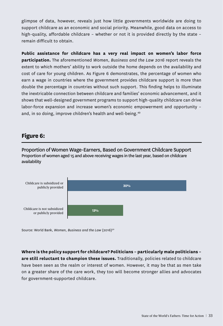glimpse of data, however, reveals just how little governments worldwide are doing to support childcare as an economic and social priority. Meanwhile, good data on access to high-quality, affordable childcare – whether or not it is provided directly by the state – remain difficult to obtain.

**Public assistance for childcare has a very real impact on women's labor force participation.** The aforementioned *Women, Business and the Law 2016* report reveals the extent to which mothers' ability to work outside the home depends on the availability and cost of care for young children. As Figure 6 demonstrates, the percentage of women who earn a wage in countries where the government provides childcare support is more than double the percentage in countries without such support. This finding helps to illuminate the inextricable connection between childcare and families' economic advancement, and it shows that well-designed government programs to support high-quality childcare can drive labor-force expansion and increase women's economic empowerment and opportunity – and, in so doing, improve children's health and well-being.<sup>49</sup>

#### **Figure 6:**

Proportion of Women Wage-Earners, Based on Government Childcare Support Proportion of women aged 15 and above receiving wages in the last year, based on childcare availability



Source: World Bank, Women, Business and the Law (2016)<sup>50</sup>

**Where is the policy support for childcare? Politicians – particularly male politicians – are still reluctant to champion these issues.** Traditionally, policies related to childcare have been seen as the realm or interest of women. However, it may be that as men take on a greater share of the care work, they too will become stronger allies and advocates for government-supported childcare.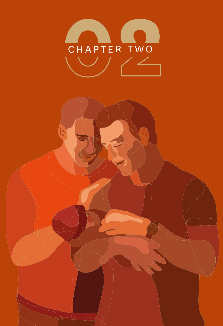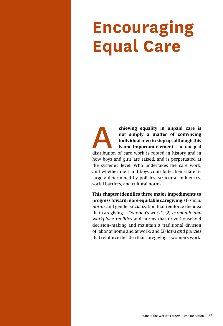## **Encouraging Equal Care**

**chieving equality in unpaid care is**<br>
not simply a matter of convincing<br>
individual men to step up, although this<br>
is one important element. The unequal<br>
distribution of care work is rooted in history and in **not simply a matter of convincing individual men to step up, although this is one important element.** The unequal how boys and girls are raised, and is perpetuated at the systemic level. Who undertakes the care work, and whether men and boys contribute their share, is largely determined by policies, structural influences, social barriers, and cultural norms.

**This chapter identifies three major impediments to progress toward more equitable caregiving:** (1) *social norms* and gender socialization that reinforce the idea that caregiving is "women's work"; (2) *economic and workplace realities* and norms that drive household decision-making and maintain a traditional division of labor at home and at work; and (3) *laws and policies*  that reinforce the idea that caregiving is women's work.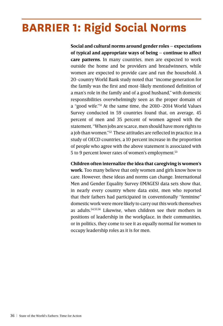## **BARRIER 1: Rigid Social Norms**

**Social and cultural norms around gender roles – expectations of typical and appropriate ways of being – continue to affect care patterns.** In many countries, men are expected to work outside the home and be providers and breadwinners, while women are expected to provide care and run the household. A 20-country World Bank study noted that "income generation for the family was the first and most-likely mentioned definition of a man's role in the family and of a good husband," with domestic responsibilities overwhelmingly seen as the proper domain of a "good wife."51 At the same time, the 2010–2014 World Values Survey conducted in 59 countries found that, on average, 45 percent of men and 35 percent of women agreed with the statement, "When jobs are scarce, men should have more rights to a job than women."52 These attitudes are reflected in practice: in a study of OECD countries, a 10 percent increase in the proportion of people who agree with the above statement is associated with 5 to 9 percent lower rates of women's employment.53

**Children often internalize the idea that caregiving is women's work.** Too many believe that only women and girls know how to care. However, these ideas and norms can change. International Men and Gender Equality Survey (IMAGES) data sets show that, in nearly every country where data exist, men who reported that their fathers had participated in conventionally "feminine" domestic work were more likely to carry out this work themselves as adults.54,55,56 Likewise, when children see their mothers in positions of leadership in the workplace, in their communities, or in politics, they come to see it as equally normal for women to occupy leadership roles as it is for men.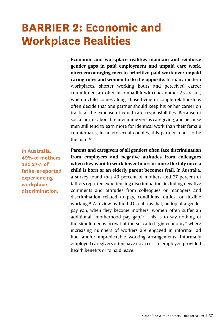## **BARRIER 2: Economic and Workplace Realities**

**Economic and workplace realities maintain and reinforce gender gaps in paid employment and unpaid care work, often encouraging men to prioritize paid work over unpaid caring roles and women to do the opposite.** In many modern workplaces, shorter working hours and perceived career commitment are often incompatible with one another. As a result, when a child comes along, those living in couple relationships often decide that one partner should keep his or her career on track, at the expense of equal care responsibilities. Because of social norms about breadwinning versus caregiving, and because men still tend to earn more for identical work than their female counterparts, in heterosexual couples, this partner tends to be the man $57$ 

**In Australia, 49% of mothers and 27% of fathers reported experiencing workplace discrimination.**

**Parents and caregivers of all genders often face discrimination from employers and negative attitudes from colleagues when they want to work fewer hours or more flexibly once a child is born or an elderly parent becomes frail.** In Australia, a survey found that 49 percent of mothers and 27 percent of fathers reported experiencing discrimination, including negative comments and attitudes from colleagues or managers and discrimination related to pay, conditions, duties, or flexible working.58 A review by the ILO confirms that, on top of a gender pay gap, when they become mothers, women often suffer an additional "motherhood pay gap."59 This is to say nothing of the simultaneous arrival of the so-called "gig economy," where increasing numbers of workers are engaged in informal, ad hoc, and/or unpredictable working arrangements. Informally employed caregivers often have no access to employer-provided health benefits or to paid leave.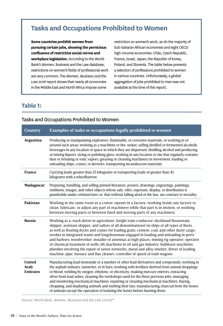#### **Tasks and Occupations Prohibited to Women**

**Some countries prohibit women from pursuing certain jobs, showing the pernicious confluence of restrictive social norms and workplace legislation.** According to the World Bank's Women, Business and the Law database, restrictions on women's fields of professional work are very common. The *Women, Business and the Law 2016* report shows that nearly all economies in the Middle East and North Africa impose some

restriction on women's work, as do the majority of Sub-Saharan African economies and eight OECD high-income economies: Chile, Czech Republic, France, Israel, Japan, the Republic of Korea, Poland, and Slovenia. The table below presents a selection of professions prohibited to women in various countries. Unfortunately, a global aggregation of jobs prohibited to men was not available at the time of this report.

#### **Table 1:**

#### **Country Examples of tasks or occupations legally prohibited to women Argentina** Producing or manipulating explosives, flammable, or corrosive materials, or working in or around such areas; working as a machinist or fire-stoker; selling distilled or fermented alcoholic beverages in any location or space in which they are dispensed; distilling alcohol and producing or mixing liquors; sizing or polishing glass; working in any location or site that regularly contains dust or irritating or toxic vapors; greasing or cleaning machinery in movement; loading or unloading ships, cranes, or derricks; transporting incandescent materials. **France** Carrying loads greater than 25 kilograms or transporting loads of greater than 45 kilograms with a wheelbarrow. **Madagascar** Preparing, handling, and selling printed literature, posters, drawings, engravings, paintings, emblems, images, and other objects whose sale, offer, exposure, display, or distribution is punishable under criminal laws or, that without falling afoul of the law, are contrary to morality. **Pakistan** Working in the same room as a cotton-opener in a factory; working inside any factory to clean, lubricate, or adjust any part of machinery while that part is in motion; or working between moving parts or between fixed and moving parts of any machinery. **Russia** Working as a: truck driver in agriculture; freight train conductor; deckhand (boatswain, skipper, assistant skipper, and sailors of all denominations) on ships of all types of fleets, as well as floating docks and cranes for loading grain, cement, coal, and other dusty cargo; worker in integrated teams and longshoreman engaged in loading and unloading in ports and harbors; woodworker; installer of antennas at high places; mining rig operator; operator of chemical treatment of wells; lift machinist in oil and gas industry; bulldozer machinist; plumber involving the repair of sewer networks; metal and alloy smelter; driver of loading machine; pipe, furnace and flue cleaner; controller of speed of train wagons. **United Arab Emirates** Manufacturing lead monoxide or a number of other lead derivatives and compounds; working in the asphalt industry, tanneries, or in bars; working with fertilizer derived from animal droppings or blood; welding by oxygen, ethylene, or electricity; making mercury mirrors; extracting silver from lead ashes; cleaning the workshops used for the three previous jobs; managing and monitoring mechanical machines; repairing or cleaning mechanical machines; flaying, chopping, and depilating animals and melting their fats; manufacturing charcoal from the bones of animals except the operation of isolating the bones before burning them.

#### Tasks and Occupations Prohibited to Women

Source: World Bank, Women, Business and the Law (2016)<sup>60</sup>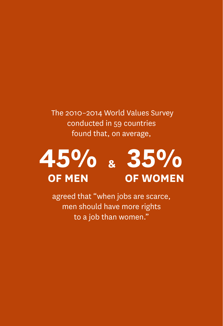The 2010–2014 World Values Survey conducted in 59 countries found that, on average,



agreed that "when jobs are scarce, men should have more rights to a job than women."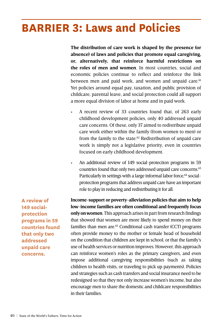## **BARRIER 3: Laws and Policies**

**The distribution of care work is shaped by the presence (or absence) of laws and policies that promote equal caregiving, or, alternatively, that reinforce harmful restrictions on the roles of men and women**. In most countries, social and economic policies continue to reflect and reinforce the link between men and paid work, and women and unpaid care.<sup>61</sup> Yet policies around equal pay, taxation, and public provision of childcare, parental leave, and social protection could all support a more equal division of labor at home and in paid work.

- A recent review of 33 countries found that, of 263 early childhood development policies, only 40 addressed unpaid care concerns. Of these, only 37 aimed to redistribute unpaid care work either within the family (from women to men) or from the family to the state. $62$  Redistribution of unpaid care work is simply not a legislative priority, even in countries focused on early childhood development.
- An additional review of 149 social-protection programs in 59 countries found that only two addressed unpaid care concerns.<sup>63</sup> Particularly in settings with a large informal labor force, <sup>64</sup> socialprotection programs that address unpaid care have an important role to play in reducing and redistributing it for all.

**A review of 149 socialprotection programs in 59 countries found that only two addressed unpaid care concerns.**

**Income-support or poverty-alleviation policies that aim to help low-income families are often conditional and frequently focus only on women**. This approach arises in part from research findings that showed that women are more likely to spend money on their families than men are.<sup>65</sup> Conditional cash transfer (CCT) programs often provide money to the mother or female head of household on the condition that children are kept in school, or that the family's use of health services or nutrition improves. However, this approach can reinforce women's roles as the primary caregivers, and even impose additional caregiving responsibilities (such as taking children to health visits, or traveling to pick up payments). Policies and strategies such as cash transfers and social insurance need to be redesigned so that they not only increase women's income, but also encourage men to share the domestic and childcare responsibilities in their families.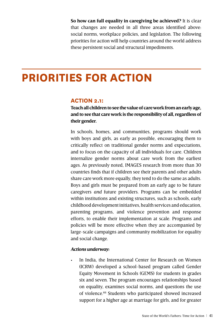**So how can full equality in caregiving be achieved?** It is clear that changes are needed in all three areas identified above: social norms, workplace policies, and legislation. The following priorities for action will help countries around the world address these persistent social and structural impediments.

### **PRIORITIES FOR ACTION**

#### **ACTION 2.1:**

**Teach all children to see the value of care work from an early age, and to see that care work is the responsibility of all, regardless of their gender.**

In schools, homes, and communities, programs should work with boys and girls, as early as possible, encouraging them to critically reflect on traditional gender norms and expectations, and to focus on the capacity of all individuals for care. Children internalize gender norms about care work from the earliest ages. As previously noted, IMAGES research from more than 30 countries finds that if children see their parents and other adults share care work more equally, they tend to do the same as adults. Boys and girls must be prepared from an early age to be future caregivers *and* future providers. Programs can be embedded within institutions and existing structures, such as schools, early childhood development initiatives, health services and education, parenting programs, and violence prevention and response efforts, to enable their implementation at scale. Programs and policies will be more effective when they are accompanied by large-scale campaigns and community mobilization for equality and social change.

#### *Actions underway:*

In India, the International Center for Research on Women (ICRW) developed a school-based program called Gender Equity Movement in Schools (GEMS) for students in grades six and seven. The program encourages relationships based on equality, examines social norms, and questions the use of violence.<sup>66</sup> Students who participated showed increased support for a higher age at marriage for girls, and for greater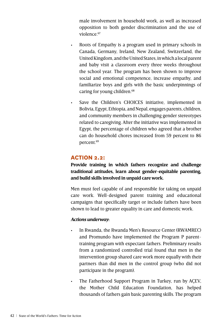male involvement in household work, as well as increased opposition to both gender discrimination and the use of violence  $67$ 

- Roots of Empathy is a program used in primary schools in Canada, Germany, Ireland, New Zealand, Switzerland, the United Kingdom, and the United States, in which a local parent and baby visit a classroom every three weeks throughout the school year. The program has been shown to improve social and emotional competence, increase empathy, and familiarize boys and girls with the basic underpinnings of caring for young children.<sup>68</sup>
- • Save the Children's CHOICES initiative, implemented in Bolivia, Egypt, Ethiopia, and Nepal, engages parents, children, and community members in challenging gender stereotypes related to caregiving. After the initiative was implemented in Egypt, the percentage of children who agreed that a brother can do household chores increased from 59 percent to 86 percent.69

#### **ACTION 2.2:**

**Provide training in which fathers recognize and challenge traditional attitudes, learn about gender-equitable parenting, and build skills involved in unpaid care work.**

Men must feel capable of and responsible for taking on unpaid care work. Well-designed parent training and educational campaigns that specifically target or include fathers have been shown to lead to greater equality in care and domestic work.

#### *Actions underway***:**

- In Rwanda, the Rwanda Men's Resource Center (RWAMREC) and Promundo have implemented the Program P parenttraining program with expectant fathers. Preliminary results from a randomized controlled trial found that men in the intervention group shared care work more equally with their partners than did men in the control group (who did not participate in the program).
- • The Fatherhood Support Program in Turkey, run by AÇEV, the Mother Child Education Foundation, has helped thousands of fathers gain basic parenting skills. The program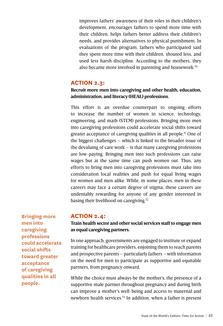improves fathers' awareness of their roles in their children's development, encourages fathers to spend more time with their children, helps fathers better address their children's needs, and provides alternatives to physical punishment. In evaluations of the program, fathers who participated said they spent more time with their children, shouted less, and used less harsh discipline. According to the mothers, they also became more involved in parenting and housework.<sup>70</sup>

#### **ACTION 2.3:**

#### **Recruit more men into caregiving and other health, education, administration, and literacy (HEAL) professions.**

This effort is an overdue counterpart to ongoing efforts to increase the number of women in science, technology, engineering, and math (STEM) professions. Bringing more men into caregiving professions could accelerate social shifts toward greater acceptance of caregiving qualities in all people.<sup>71</sup> One of the biggest challenges – which is linked to the broader issue of the devaluing of care work – is that many caregiving professions are low-paying. Bringing men into such professions can raise wages but at the same time can push women out. Thus, any efforts to bring men into caregiving professions must take into consideration local realities and push for equal living wages for women and men alike. While, in some places, men in these careers may face a certain degree of stigma, these careers are undeniably rewarding for anyone of any gender interested in basing their livelihood on caregiving.<sup>72</sup>

**Bringing more men into caregiving professions could accelerate social shifts toward greater acceptance of caregiving qualities in all people.**

#### **ACTION 2.4:**

#### **Train health sector and other social services staff to engage men as equal caregiving partners.**

In one approach, governments are engaged to institute or expand training for healthcare providers, enjoining them to reach parents and prospective parents – particularly fathers – with information on the need for men to participate as supportive and equitable partners, from pregnancy onward.

While the choice must always be the mother's, the presence of a supportive male partner throughout pregnancy and during birth can improve a mother's well-being and access to maternal and newborn health services.73 In addition, when a father is present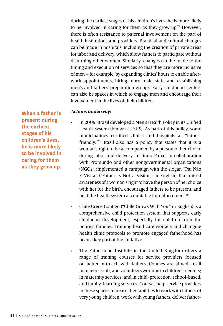during the earliest stages of his children's lives, he is more likely to be involved in caring for them as they grow up.<sup>74</sup> However, there is often resistance to paternal involvement on the part of health institutions and providers. Practical and cultural changes can be made in hospitals, including the creation of private areas for labor and delivery, which allow fathers to participate without disturbing other women. Similarly, changes can be made to the timing and execution of services so that they are more inclusive of men – for example, by expanding clinics' hours to enable afterwork appointments, hiring more male staff, and establishing men's and fathers' preparation groups. Early childhood centers can also be spaces in which to engage men and encourage their involvement in the lives of their children.

#### *Actions underway:*

**When a father is present during the earliest stages of his children's lives, he is more likely to be involved in caring for them as they grow up.**

In 2009, Brazil developed a Men's Health Policy in its Unified Health System (known as SUS). As part of this policy, some municipalities certified clinics and hospitals as "fatherfriendly."75 Brazil also has a policy that states that it is a woman's right to be accompanied by a person of her choice during labor and delivery. Instituto Papai, in collaboration with Promundo and other nongovernmental organizations (NGOs), implemented a campaign with the slogan "Pai Não É Visita" ("Father Is Not a Visitor," in English) that raised awareness of a woman's right to have the person of her choice with her for the birth, encouraged fathers to be present, and held the health system accountable for enforcement.<sup>76</sup>

Chile Crece Contigo ("Chile Grows With You," in English) is a comprehensive child protection system that supports early childhood development, especially for children from the poorest families. Training healthcare workers and changing health clinic protocols to promote engaged fatherhood has been a key part of the initiative.

The Fatherhood Institute in the United Kingdom offers a range of training courses for service providers focused on better outreach with fathers. Courses are aimed at all managers, staff, and volunteers working in children's centers; in maternity services; and in child-protection, school-based, and family-learning services. Courses help service providers in these spaces increase their abilities to work with fathers of very young children, work with young fathers, deliver father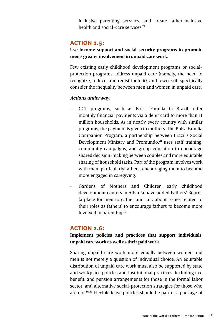inclusive parenting services, and create father-inclusive health and social-care services  $77$ 

#### **ACTION 2.5:**

#### **Use income-support and social-security programs to promote men's greater involvement in unpaid care work.**

Few existing early childhood development programs or socialprotection programs address unpaid care (namely, the need to recognize, reduce, and redistribute it), and fewer still specifically consider the inequality between men and women in unpaid care.

#### *Actions underway:*

- CCT programs, such as Bolsa Família in Brazil, offer monthly financial payments via a debit card to more than 11 million households. As in nearly every country with similar programs, the payment is given to mothers. The Bolsa Família Companion Program, a partnership between Brazil's Social Development Ministry and Promundo,<sup>78</sup> uses staff training, community campaigns, and group education to encourage shared decision-making between couples and more equitable sharing of household tasks. Part of the program involves work with men, particularly fathers, encouraging them to become more engaged in caregiving.
- Gardens of Mothers and Children early childhood development centers in Albania have added Fathers' Boards (a place for men to gather and talk about issues related to their roles as fathers) to encourage fathers to become more involved in parenting.79

#### **ACTION 2.6:**

**Implement policies and practices that support individuals' unpaid care work as well as their paid work.**

Sharing unpaid care work more equally between women and men is not merely a question of individual choice. An equitable distribution of unpaid care work must also be supported by state and workplace policies and institutional practices, including tax, benefit, and pension arrangements for those in the formal labor sector, and alternative social-protection strategies for those who are not.80,81 Flexible leave policies should be part of a package of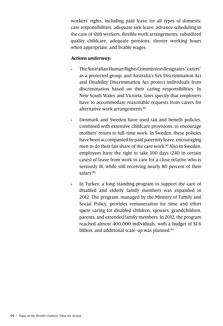workers' rights, including paid leave for all types of domestic care responsibilities, adequate sick leave, advance scheduling in the case of shift workers, flexible work arrangements, subsidized quality childcare, adequate pensions, shorter working hours when appropriate, and livable wages.

#### *Actions underway:*

- The Australian Human Rights Commission designates "carers" as a protected group, and Australia's Sex Discrimination Act and Disability Discrimination Act protect individuals from discrimination based on their caring responsibilities. In New South Wales and Victoria, laws specify that employers have to accommodate reasonable requests from carers for alternative work arrangements.<sup>82</sup>
- • Denmark and Sweden have used tax and benefit policies, combined with extensive childcare provisions, to encourage mothers' return to full-time work. In Sweden, these policies have been accompanied by paid paternity leave, encouraging men to do their fair share of the care work.<sup>83</sup> Also in Sweden, employees have the right to take 100 days (240 in certain cases) of leave from work to care for a close relative who is seriously ill, while still receiving nearly 80 percent of their salary.<sup>84</sup>
	- In Turkey, a long-standing program to support the care of disabled and elderly family members was expanded in 2012. The program, managed by the Ministry of Family and Social Policy, provides remuneration for time and effort spent caring for disabled children, spouses, grandchildren, parents, and extended family members. In 2012, the program reached almost 400,000 individuals, with a budget of \$1.6 billion, and additional scale-up was planned.<sup>85</sup>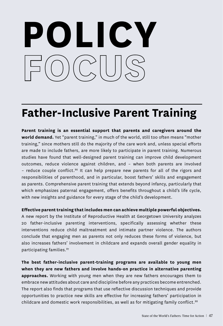# **POLICY**

## **Father-Inclusive Parent Training**

**Parent training is an essential support that parents and caregivers around the world demand.** Yet "parent training," in much of the world, still too often means "mother training," since mothers still do the majority of the care work and, unless special efforts are made to include fathers, are more likely to participate in parent training. Numerous studies have found that well-designed parent training can improve child development outcomes, reduce violence against children, and – when both parents are involved – reduce couple conflict.86 It can help prepare new parents for all of the rigors and responsibilities of parenthood, and in particular, boost fathers' skills and engagement as parents. Comprehensive parent training that extends beyond infancy, particularly that which emphasizes paternal engagement, offers benefits throughout a child's life cycle, with new insights and guidance for every stage of the child's development.

**Effective parent training that includes men can achieve multiple powerful objectives.**  A new report by the Institute of Reproductive Health at Georgetown University analyzes 20 father-inclusive parenting interventions, specifically assessing whether these interventions reduce child maltreatment and intimate partner violence. The authors conclude that engaging men as parents not only reduces these forms of violence, but also increases fathers' involvement in childcare and expands overall gender equality in participating families.<sup>87</sup>

**The best father-inclusive parent-training programs are available to young men when they are new fathers and involve hands-on practice in alternative parenting approaches.** Working with young men when they are new fathers encourages them to embrace new attitudes about care and discipline before any practices become entrenched. The report also finds that programs that use reflective discussion techniques and provide opportunities to practice new skills are effective for increasing fathers' participation in childcare and domestic work responsibilities, as well as for mitigating family conflict.<sup>88</sup>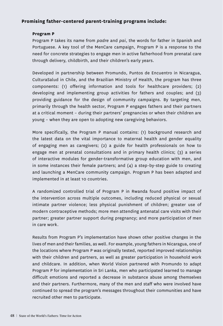#### **Promising father-centered parent-training programs include:**

#### **Program P**

Program P takes its name from *padre* and *pai*, the words for father in Spanish and Portuguese. A key tool of the MenCare campaign, Program P is a response to the need for concrete strategies to engage men in active fatherhood from prenatal care through delivery, childbirth, and their children's early years.

Developed in partnership between Promundo, Puntos de Encuentro in Nicaragua, CulturaSalud in Chile, and the Brazilian Ministry of Health, the program has three components: (1) offering information and tools for healthcare providers; (2) developing and implementing group activities for fathers and couples; and (3) providing guidance for the design of community campaigns. By targeting men, primarily through the health sector, Program P engages fathers and their partners at a critical moment – during their partners' pregnancies or when their children are young – when they are open to adopting new caregiving behaviors.

More specifically, the Program P manual contains: (1) background research and the latest data on the vital importance to maternal health and gender equality of engaging men as caregivers; (2) a guide for health professionals on how to engage men at prenatal consultations and in primary health clinics; (3) a series of interactive modules for gender-transformative group education with men, and in some instances their female partners; and  $(4)$  a step-by-step guide to creating and launching a MenCare community campaign. Program P has been adapted and implemented in at least 10 countries.

A randomized controlled trial of Program P in Rwanda found positive impact of the intervention across multiple outcomes, including reduced physical or sexual intimate partner violence; less physical punishment of children; greater use of modern contraceptive methods; more men attending antenatal care visits with their partner; greater partner support during pregnancy; and more participation of men in care work.

Results from Program P's implementation have shown other positive changes in the lives of men and their families, as well. For example, young fathers in Nicaragua, one of the locations where Program P was originally tested, reported improved relationships with their children and partners, as well as greater participation in household work and childcare. In addition, when World Vision partnered with Promundo to adapt Program P for implementation in Sri Lanka, men who participated learned to manage difficult emotions and reported a decrease in substance abuse among themselves and their partners. Furthermore, many of the men and staff who were involved have continued to spread the program's messages throughout their communities and have recruited other men to participate.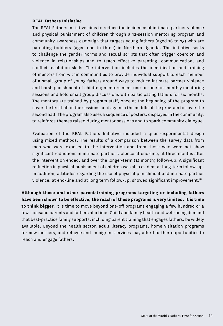#### **REAL Fathers Initiative**

The REAL Fathers Initiative aims to reduce the incidence of intimate partner violence and physical punishment of children through a 12-session mentoring program and community awareness campaign that targets young fathers (aged 16 to 25) who are parenting toddlers (aged one to three) in Northern Uganda. The initiative seeks to challenge the gender norms and sexual scripts that often trigger coercion and violence in relationships and to teach effective parenting, communication, and conflict-resolution skills. The intervention includes the identification and training of mentors from within communities to provide individual support to each member of a small group of young fathers around ways to reduce intimate partner violence and harsh punishment of children; mentors meet one-on-one for monthly mentoring sessions and hold small group discussions with participating fathers for six months. The mentors are trained by program staff, once at the beginning of the program to cover the first half of the sessions, and again in the middle of the program to cover the second half. The program also uses a sequence of posters, displayed in the community, to reinforce themes raised during mentor sessions and to spark community dialogue.

Evaluation of the REAL Fathers Initiative included a quasi-experimental design using mixed methods. The results of a comparison between the survey data from men who were exposed to the intervention and from those who were not show significant reductions in intimate partner violence at end-line, at three months after the intervention ended, and over the longer-term (12 month) follow-up. A significant reduction in physical punishment of children was also evident at long-term follow-up. In addition, attitudes regarding the use of physical punishment and intimate partner violence, at end-line and at long term follow-up, showed significant improvement.<sup>89</sup>

**Although these and other parent-training programs targeting or including fathers have been shown to be effective, the reach of these programs is very limited. It is time to think bigger.** It is time to move beyond one-off programs engaging a few hundred or a few thousand parents and fathers at a time. Child and family health and well-being demand that best-practice family supports, including parent training that engages fathers, be widely available. Beyond the health sector, adult literacy programs, home visitation programs for new mothers, and refugee and immigrant services may afford further opportunities to reach and engage fathers.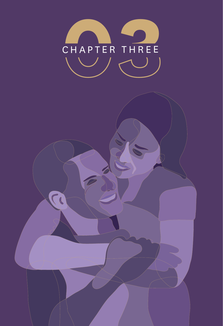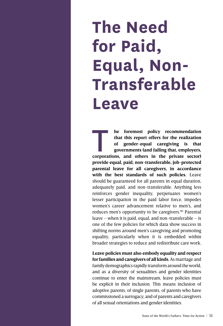# **The Need for Paid, Equal, Non-Transferable Leave**

**a** he foremost policy recommendation that this report offers for the realization of gender-equal caregiving is that governments (and failing that, employers, corporations, and others in the private sector) **that this report offers for the realization of gender-equal caregiving is that governments (and failing that, employers, provide equal, paid, non-transferable, job-protected parental leave for all caregivers, in accordance with the best standards of such policies.** Leave should be guaranteed for all parents in equal duration, adequately paid, and non-transferable. Anything less reinforces gender inequality, perpetuates women's lesser participation in the paid labor force, impedes women's career advancement relative to men's, and reduces men's opportunity to be caregivers.<sup>90</sup> Parental leave – when it is paid, equal, and non-transferable – is one of the few policies for which data show success in shifting norms around men's caregiving and promoting equality, particularly when it is embedded within broader strategies to reduce and redistribute care work.

**Leave policies must also embody equality and respect for families and caregivers of all kinds.** As marriage and family demographics rapidly transform around the world, and as a diversity of sexualities and gender identities continue to enter the mainstream, leave policies must be explicit in their inclusion. This means inclusion of adoptive parents, of single parents, of parents who have commissioned a surrogacy, and of parents and caregivers of all sexual orientations and gender identities.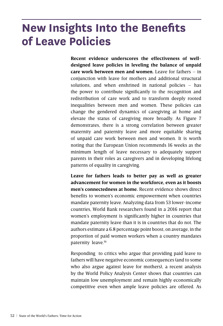## **New Insights Into the Benefits of Leave Policies**

**Recent evidence underscores the effectiveness of welldesigned leave policies in leveling the balance of unpaid care work between men and women.** Leave for fathers – in conjunction with leave for mothers and additional structural solutions, and when enshrined in national policies – has the power to contribute significantly to the recognition and redistribution of care work and to transform deeply rooted inequalities between men and women. These policies can change the gendered dynamics of caregiving at home and elevate the status of caregiving more broadly. As Figure 7 demonstrates, there is a strong correlation between greater maternity and paternity leave and more equitable sharing of unpaid care work between men and women. It is worth noting that the European Union recommends 16 weeks as the minimum length of leave necessary to adequately support parents in their roles as caregivers and in developing lifelong patterns of equality in caregiving.

**Leave for fathers leads to better pay as well as greater advancement for women in the workforce, even as it boosts men's connectedness at home.** Recent evidence shows direct benefits to women's economic empowerment when countries mandate paternity leave. Analyzing data from 53 lower-income countries, World Bank researchers found in a 2016 report that women's employment is significantly higher in countries that mandate paternity leave than it is in countries that do not. The authors estimate a 6.8 percentage point boost, on average, in the proportion of paid women workers when a country mandates paternity leave.<sup>91</sup>

Responding to critics who argue that providing paid leave to fathers will have negative economic consequences (and to some who also argue against leave for mothers), a recent analysis by the World Policy Analysis Center shows that countries can maintain low unemployment and remain highly economically competitive even when ample leave policies are offered. As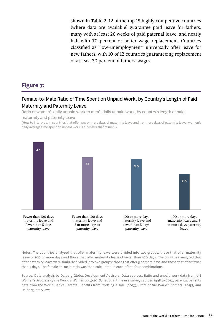shown in Table 2, 12 of the top 15 highly competitive countries (where data are available) guarantee paid leave for fathers, many with at least 26 weeks of paid paternal leave, and nearly half with 70 percent or better wage replacement. Countries classified as "low-unemployment" universally offer leave for new fathers, with 10 of 12 countries guaranteeing replacement of at least 70 percent of fathers' wages.

#### **Figure 7:**

#### Female-to-Male Ratio of Time Spent on Unpaid Work, by Country's Length of Paid Maternity and Paternity Leave

Ratio of women's daily unpaid work to men's daily unpaid work, by country's length of paid maternity and paternity leave

(How to interpret: In countries that offer 100 or more days of maternity leave and 5 or more days of paternity leave, women's daily average time spent on unpaid work is 2.0 *times* that of men.)



Notes: The countries analyzed that offer maternity leave were divided into two groups: those that offer maternity leave of 100 or more days and those that offer maternity leave of fewer than 100 days. The countries analyzed that offer paternity leave were similarly divided into two groups: those that offer 5 or more days and those that offer fewer than 5 days. The female-to-male ratio was then calculated in each of the four combinations.

Source: Data analysis by Dalberg Global Development Advisors. Data sources: Ratio and unpaid work data from UN Women's *Progress of the World's Women 2015-2016*, national time use surveys across 1998 to 2013; parental benefits data from the World Bank's Parental Benefits from "Getting a Job" (2013), *State of the World's Fathers* (2015), and Dalberg interviews.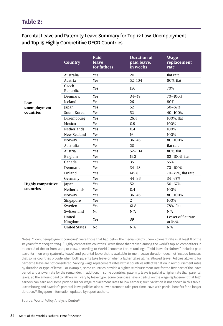#### **Table 2:**

#### Parental Leave and Paternity Leave Summary for Top 12 Low-Unemployment and Top 15 Highly Competitive OECD Countries

|                                        | <b>Country</b>       | Paid<br>leave<br>for fathers | <b>Duration of</b><br>paid leave.<br>in weeks | <b>Wage</b><br>replacement<br>rate |
|----------------------------------------|----------------------|------------------------------|-----------------------------------------------|------------------------------------|
| $Low-$<br>unemployment<br>countries    | Australia            | Yes                          | 20                                            | flat rate                          |
|                                        | Austria              | Yes                          | $52 - 104$                                    | 80%, flat                          |
|                                        | Czech<br>Republic    | Yes                          | 156                                           | 70%                                |
|                                        | Denmark              | <b>Yes</b>                   | $34 - 48$                                     | 70-100%                            |
|                                        | Iceland              | Yes                          | 26                                            | 80%                                |
|                                        | Japan                | Yes                          | 52                                            | $50 - 67%$                         |
|                                        | South Korea          | Yes                          | 52                                            | 40-100%                            |
|                                        | Luxembourg           | Yes                          | 26.4                                          | 100%, flat                         |
|                                        | Mexico               | <b>Yes</b>                   | 0.9                                           | 100%                               |
|                                        | <b>Netherlands</b>   | <b>Yes</b>                   | 0.4                                           | 100%                               |
|                                        | New Zealand          | Yes                          | 16                                            | 100%                               |
|                                        | Norway               | Yes                          | $36 - 46$                                     | 80-100%                            |
| <b>Highly competitive</b><br>countries | Australia            | Yes                          | 20                                            | flat rate                          |
|                                        | Austria              | <b>Yes</b>                   | $52 - 104$                                    | 80%, flat                          |
|                                        | Belgium              | Yes                          | 19.3                                          | 82-100%, flat                      |
|                                        | Canada               | <b>Yes</b>                   | 35                                            | 55%                                |
|                                        | Denmark              | <b>Yes</b>                   | $34 - 48$                                     | 70-100%                            |
|                                        | Finland              | Yes                          | 149.8                                         | 70-75%, flat rate                  |
|                                        | Germany              | Yes                          | $44 - 96$                                     | $34 - 67%$                         |
|                                        | Japan                | <b>Yes</b>                   | 52                                            | $50 - 67%$                         |
|                                        | Netherlands          | <b>Yes</b>                   | 0.4                                           | 100%                               |
|                                        | Norway               | <b>Yes</b>                   | $36 - 46$                                     | 80-100%                            |
|                                        | Singapore            | <b>Yes</b>                   | 2                                             | 100%                               |
|                                        | Sweden               | Yes                          | 61.8                                          | 78%, flat                          |
|                                        | Switzerland          | No                           | N/A                                           | N/A                                |
|                                        | United<br>Kingdom    | Yes                          | 39                                            | Lesser of flat rate<br>or 90%      |
|                                        | <b>United States</b> | N <sub>o</sub>               | N/A                                           | N/A                                |

Notes: "Low-unemployment countries" were those that had below the median OECD unemployment rate in at least 8 of the 10 years from 2005 to 2014. "Highly competitive countries" were those that ranked among the world's top 20 competitors in at least 8 of the 10 from 2005 to 2014, according to World Economic Forum rankings. "Paid leave for fathers" includes paid leave for men only (paternity leave) and parental leave that is available to men. Leave duration does not include bonuses that some countries provide when both parents take leave or when a father takes all his allowed leave. Policies allowing for part-time leave are not considered. Varying wage replacement rates within countries reflect variation in reimbursement rates by duration or type of leave. For example, some countries provide a higher reimbursement rate for the first part of the leave period and a lower rate for the remainder. In addition, in some countries, paternity leave is paid at a higher rate than parental leave, so the amount paid to fathers will vary by leave type. Some countries have a ceiling on the wage replacement that high earners can earn and some provide higher wage replacement rates to low earners; such variation is not shown in this table. Luxembourg and Sweden's parental leave policies also allow parents to take part-time leave with partial benefits for a longer duration.<sup>92</sup> Singapore information updated by report authors.

Source: World Policy Analysis Center<sup>93</sup>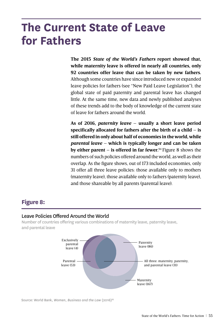## **The Current State of Leave for Fathers**

**The 2015** *State of the World's Fathers* **report showed that, while maternity leave is offered in nearly all countries, only 92 countries offer leave that can be taken by new fathers.**  Although some countries have since introduced new or expanded leave policies for fathers (see "New Paid Leave Legislation"), the global state of paid paternity and parental leave has changed little. At the same time, new data and newly published analyses of these trends add to the body of knowledge of the current state of leave for fathers around the world.

**As of 2016,** *paternity leave* **– usually a short leave period specifically allocated for fathers after the birth of a child – is still offered in only about half of economies in the world, while**  *parental leave* **– which is typically longer and can be taken by either parent – is offered in far fewer.**94 Figure 8 shows the numbers of such policies offered around the world, as well as their overlap. As the figure shows, out of 173 included economies, only 31 offer all three leave policies: those available only to mothers (maternity leave), those available only to fathers (paternity leave), and those shareable by all parents (parental leave).

#### **Figure 8:**

#### Leave Policies Offered Around the World

Number of countries offering various combinations of maternity leave, paternity leave, and parental leave



Source: World Bank, *Women, Business and the Law* (2016)95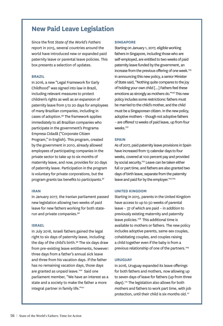#### **New Paid Leave Legislation**

Since the first *State of the World's Fathers* report in 2015, several countries around the world have introduced new or expanded paid paternity leave or parental leave policies. This box presents a selection of updates.

#### **Brazil**

In 2016, a new "Legal Framework for Early Childhood" was signed into law in Brazil, including relevant measures to protect children's rights as well as an expansion of paternity leave from 5 to 20 days for employees of many Brazilian companies, including in cases of adoption.96 The framework applies immediately to all Brazilian companies who participate in the government's Programa Empresa Cidadã ("Corporate Citizen Program," in English). This program, created by the government in 2010, already allowed employees of participating companies in the private sector to take up to six months of maternity leave, and now, provides for 20 days of paternity leave. Participation in the program is voluntary for private corporations, but the program grants tax benefits to participants.<sup>97</sup>

#### **Iran**

In January 2017, the Iranian parliament passed new legislation allowing two weeks of paid leave for new fathers working for both staterun and private companies.98

#### **Israel**

In July 2016, Israeli fathers gained the legal right to six days of paternity leave, including the day of the child's birth.<sup>99</sup> The six days draw from pre-existing leave entitlements, however: three days from a father's annual sick leave and three from his vacation days. If the father has no remaining vacation days, those days are granted as unpaid leave.<sup>100</sup> Said one parliament member, "We have an interest as a state and a society to make the father a more integral partner in family life."<sup>101</sup>

#### **Singapore**

Starting on January 1, 2017, eligible working fathers in Singapore, including those who are self-employed, are entitled to two weeks of paid paternity leave funded by the government, an increase from the previous offering of one week.<sup>105</sup> In announcing this new policy, a senior Minister of State said, "Nothing quite compares to the joy of holding your own child [...] Fathers feel these emotions as strongly as mothers do."<sup>106</sup> This new policy includes some restrictions: fathers must be married to the child's mother, and the child must be a Singaporean citizen. In the new policy, adoptive mothers – though not adoptive fathers – are offered 12 weeks of paid leave, up from four weeks.<sup>107</sup>

#### **Spain**

As of 2017, paid paternity leave provisions in Spain have increased from 13 calendar days to four weeks, covered at 100 percent pay and provided by social security.<sup>102</sup> Leave can be taken either full or part time, and fathers are also granted two days of birth leave, separate from the paternity leave and paid for by the employer.<sup>103,104</sup>

#### **United Kingdom**

Starting in 2015, parents in the United Kingdom have access to up to 50 weeks of parental leave – 37 of which are paid – in addition to previously existing maternity and paternity leave policies.108 This additional time is available to mothers or fathers. The new policy includes adoptive parents, same-sex couples, cohabitating couples, and couples raising a child together even if the baby is from a previous relationship of one of the partners.<sup>109</sup>

#### **Uruguay**

In 2016, Uruguay expanded its leave offerings for both fathers and mothers, now allowing up to seven days of leave for fathers (up from three days).110 The legislation also allows for both mothers and fathers to work part time, with job protection, until their child is six months old.<sup>111</sup>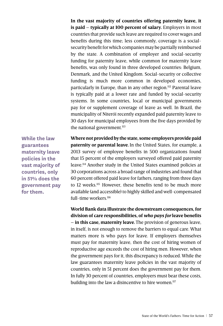**In the vast majority of countries offering paternity leave, it is paid – typically at 100 percent of salary.** Employers in most countries that provide such leave are required to cover wages and benefits during this time; less commonly, coverage is a socialsecurity benefit for which companies may be partially reimbursed by the state. A combination of employer and social-security funding for paternity leave, while common for maternity leave benefits, was only found in three developed countries: Belgium, Denmark, and the United Kingdom. Social-security or collective funding is much more common in developed economies, particularly in Europe, than in any other region.112 Parental leave is typically paid at a lower rate and funded by social-security systems. In some countries, local or municipal governments pay for or supplement coverage of leave as well. In Brazil, the municipality of Niterói recently expanded paid paternity leave to 30 days for municipal employees from the five days provided by the national government. $113$ 

**While the law guarantees maternity leave policies in the vast majority of countries, only in 51% does the government pay for them.**

**Where not provided by the state, some employers provide paid paternity or parental leave.** In the United States, for example, a 2013 survey of employee benefits in 500 organizations found that 15 percent of the employers surveyed offered paid paternity leave.114 Another study in the United States examined policies at 30 corporations across a broad range of industries and found that 60 percent offered paid leave for fathers, ranging from three days to 12 weeks.<sup>115</sup> However, these benefits tend to be much more available (and accessible) to highly skilled and well-compensated full-time workers<sup>116</sup>

**World Bank data illustrate the downstream consequences, for division of care responsibilities, of** *who pays for* **leave benefits – in this case, maternity leave.**The provision of generous leave, in itself, is not enough to remove the barriers to equal care. What matters more is who pays for leave. If employers themselves must pay for maternity leave, then the cost of hiring women of reproductive age exceeds the cost of hiring men. However, when the government pays for it, this discrepancy is reduced. While the law guarantees maternity leave policies in the vast majority of countries, only in 51 percent does the government pay for them. In fully 30 percent of countries, employers must bear these costs, building into the law a disincentive to hire women.<sup>117</sup>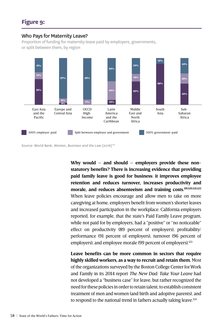#### Who Pays for Maternity Leave?

Proportion of funding for maternity leave paid by employers, governments, or split between them, by region



Source: World Bank, *Women, Business and the Law (2016)<sup>118</sup>* 

**Why would – and should – employers provide these nonstatutory benefits? There is increasing evidence that providing paid family leave is good for business: it improves employee retention and reduces turnover, increases productivity and morale, and reduces absenteeism and training costs.119,120,121,122** When leave policies encourage and allow men to take on more caregiving at home, employers benefit from women's shorter leaves and increased participation in the workplace. California employers reported, for example, that the state's Paid Family Leave program, while not paid for by employers, had a "positive" or "no noticeable" effect on productivity (89 percent of employers), profitability/ performance (91 percent of employers), turnover (96 percent of employers), and employee morale (99 percent of employers).<sup>123</sup>

**Leave benefits can be more common in sectors that require highly skilled workers, as a way to recruit and retain them.** Most of the organizations surveyed by the Boston College Center for Work and Family in its 2014 report *The New Dad: Take Your Leave* had not developed a "business case" for leave, but rather recognized the need for these policies in order to retain talent, to establish consistent treatment of men and women (and birth and adoptive parents), and to respond to the national trend in fathers actually taking leave.<sup>124</sup>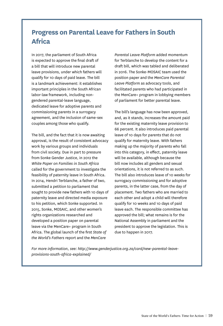#### **Progress on Parental Leave for Fathers in South Africa**

In 2017, the parliament of South Africa is expected to approve the final draft of a bill that will introduce new parental leave provisions, under which fathers will qualify for 10 days of paid leave. The bill is a landmark achievement: it establishes important principles in the South African labor-law framework, including nongendered parental-leave language, dedicated leave for adoptive parents and commissioning parents in a surrogacy agreement, and the inclusion of same-sex couples among those who qualify.

The bill, and the fact that it is now awaiting approval, is the result of consistent advocacy work by various groups and individuals from civil society. Due in part to pressure from Sonke Gender Justice, in 2012 the *White Paper on Families in South Africa* called for the government to investigate the feasibility of paternity leave in South Africa. In 2014, Hendri Terblanche, a father of two, submitted a petition to parliament that sought to provide new fathers with 10 days of paternity leave and directed media exposure to his petition, which Sonke supported. In 2015, Sonke, MOSAIC, and other women's rights organizations researched and developed a position paper on parental leave via the MenCare+ program in South Africa. The global launch of the first *State of the World's Fathers* report and the *MenCare* 

*Parental Leave Platform* added momentum for Terblanche to develop the content for a draft bill, which was tabled and deliberated in 2016. The Sonke-MOSAIC team used the position paper and the *MenCare Parental Leave Platform* as advocacy tools, and facilitated parents who had participated in the MenCare+ program in lobbying members of parliament for better parental leave.

The bill's language has now been approved, and, as it stands, increases the amount paid for the existing maternity leave provision to 66 percent. It also introduces paid parental leave of 10 days for parents that do not qualify for maternity leave. With fathers making up the majority of parents who fall into this category, in effect, paternity leave will be available, although because the bill now includes all genders and sexual orientations, it is not referred to as such. The bill also introduces leave of 10 weeks for surrogacy commissioning and for adoptive parents, in the latter case, from the day of placement. Two fathers who are married to each other and adopt a child will therefore qualify for 10 weeks and 10 days of paid leave each. The responsible committee has approved the bill; what remains is for the National Assembly in parliament and the president to approve the legislation. This is due to happen in 2017.

*For more information, see: http://www.genderjustice.org.za/card/new-parental-leaveprovisions-south-africa-explained/*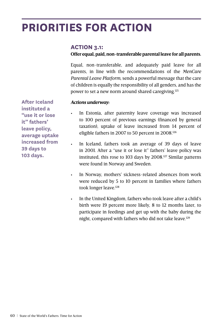## **PRIORITIES FOR ACTION**

#### **ACTION 3.1:**

#### **Offer equal, paid, non-transferable parental leave for all parents.**

Equal, non-transferable, and adequately paid leave for all parents, in line with the recommendations of the *MenCare Parental Leave Platform*, sends a powerful message that the care of children is equally the responsibility of all genders, and has the power to set a new norm around shared caregiving.125

#### *Actions underway:*

In Estonia, after paternity leave coverage was increased to 100 percent of previous earnings (financed by general taxation), uptake of leave increased from 14 percent of eligible fathers in 2007 to 50 percent in 2008.126

In Iceland, fathers took an average of 39 days of leave in 2001. After a "use it or lose it" fathers' leave policy was instituted, this rose to 103 days by 2008.<sup>127</sup> Similar patterns were found in Norway and Sweden.

- In Norway, mothers' sickness-related absences from work were reduced by 5 to 10 percent in families where fathers took longer leave.<sup>128</sup>
- In the United Kingdom, fathers who took leave after a child's birth were 19 percent more likely, 8 to 12 months later, to participate in feedings and get up with the baby during the night, compared with fathers who did not take leave.<sup>129</sup>

**After Iceland instituted a "use it or lose it" fathers' leave policy, average uptake increased from 39 days to 103 days.**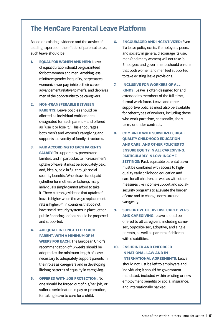#### **The MenCare Parental Leave Platform**

Based on existing evidence and the advice of leading experts on the effects of parental leave, such leave should be:

- **1. Equal for women and men:** Leave of equal duration should be guaranteed for both women and men. Anything less reinforces gender inequality, perpetuates women's lower pay, inhibits their career advancement relative to men's, and deprives men of the opportunity to be caregivers.
- **2. Non-transferable between PARENTS:** Leave policies should be allotted as individual entitlements – designated for each parent – and offered as "use it or lose it." This encourages both men's and women's caregiving and supports a diversity of family structures.
- **3. Paid accordingto each parent's salary:** To support new parents and families, and in particular, to increase men's uptake of leave, it must be adequately paid, and, ideally, paid in full through socialsecurity benefits. When leave is not paid (whether for mothers or fathers), many individuals simply cannot afford to take it. There is strong evidence that uptake of leave is higher when the wage replacement rate is higher.<sup>130</sup> In countries that do not have social-security systems in place, other public financing options should be proposed and supported.
- **4. Adequate in length for each parent, with a minimum of 16 weeks for each:** The European Union's recommendation of 16 weeks should be adopted as the minimum length of leave necessary to adequately support parents in their roles as caregivers and in developing lifelong patterns of equality in caregiving.
- **5. Offered with job protection:** No one should be forced out of his/her job, or suffer discrimination in pay or promotion, for taking leave to care for a child.
- **6. Encouraged and incentivized:** Even if a leave policy exists, if employers, peers, and society in general discourage its use, men (and many women) will not take it. Employers and governments should ensure that both women and men feel supported to take existing leave provisions.
- **7. Inclusive for workers of all kinds:** Leave is often designed for and extended to members of the full-time, formal work force. Leave and other supportive policies must also be available for other types of workers, including those who work part time, seasonally, short term, or under contract.
- **8. Combined with subsidized, highquality childhood education and care, and other policies to ensure equity in all caregiving, particularly in low-income SETTINGS: Paid, equitable parental leave** must be combined with access to highquality early childhood education and care for all children, as well as with other measures like income-support and socialsecurity programs to alleviate the burden of care and to change norms around caregiving.
- **9. Supportive of diverse caregivers and caregiving:** Leave should be offered to all caregivers, including samesex, opposite-sex, adoptive, and single parents, as well as parents of children with disabilities.
- **10. Enshrined and enforced in national law and in international agreements:** Leave should not just be left to employers and individuals; it should be governmentmandated, included within existing or new employment benefits or social insurance, and internationally backed.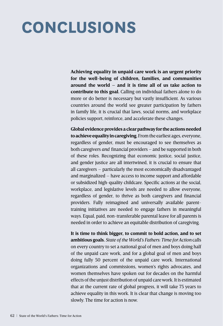# **Conclusions**

**Achieving equality in unpaid care work is an urgent priority for the well-being of children, families, and communities around the world – and it is time all of us take action to contribute to this goal.** Calling on individual fathers alone to do more or do better is necessary but vastly insufficient. As various countries around the world see greater participation by fathers in family life, it is crucial that laws, social norms, and workplace policies support, reinforce, and accelerate these changes.

**Global evidence provides a clear pathway for the actions needed to achieve equality in caregiving.** From the earliest ages, everyone, regardless of gender, must be encouraged to see themselves as both caregivers *and* financial providers – and be supported in both of these roles. Recognizing that economic justice, social justice, and gender justice are all intertwined, it is crucial to ensure that all caregivers – particularly the most economically disadvantaged and marginalized – have access to income support and affordable or subsidized high-quality childcare. Specific actions at the social, workplace, and legislative levels are needed to allow everyone, regardless of gender, to thrive as both caregivers and financial providers. Fully reimagined and universally available parenttraining initiatives are needed to engage fathers in meaningful ways. Equal, paid, non-transferable parental leave for all parents is needed in order to achieve an equitable distribution of caregiving.

**It is time to think bigger, to commit to bold action, and to set ambitious goals.** *State of the World's Fathers: Time for Action* calls on every country to set a national goal of men and boys doing half of the unpaid care work, and for a global goal of men and boys doing fully 50 percent of the unpaid care work. International organizations and commissions, women's rights advocates, and women themselves have spoken out for decades on the harmful effects of the unjust distribution of unpaid care work. It is estimated that at the current rate of global progress, it will take 75 years to achieve equality in this work. It is clear that change is moving too slowly. The time for action is now.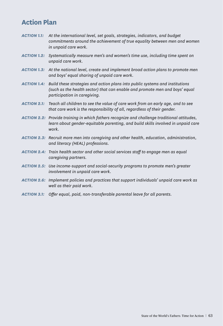#### **Action Plan**

- *ACTION 1.1: At the international level, set goals, strategies, indicators, and budget commitments around the achievement of true equality between men and women in unpaid care work.*
- *ACTION 1.2: Systematically measure men's and women's time use, including time spent on unpaid care work.*
- *ACTION 1.3: At the national level, create and implement broad action plans to promote men and boys' equal sharing of unpaid care work.*
- *ACTION 1.4: Build these strategies and action plans into public systems and institutions (such as the health sector) that can enable and promote men and boys' equal participation in caregiving.*
- *ACTION 2.1: Teach all children to see the value of care work from an early age, and to see that care work is the responsibility of all, regardless of their gender.*
- *ACTION 2.2: Provide training in which fathers recognize and challenge traditional attitudes, learn about gender-equitable parenting, and build skills involved in unpaid care work.*
- *ACTION 2.3: Recruit more men into caregiving and other health, education, administration, and literacy (HEAL) professions.*
- *ACTION 2.4: Train health sector and other social services staff to engage men as equal caregiving partners.*
- *ACTION 2.5: Use income-support and social-security programs to promote men's greater involvement in unpaid care work*.
- *ACTION 2.6: Implement policies and practices that support individuals' unpaid care work as well as their paid work.*
- *ACTION 3.1: Offer equal, paid, non-transferable parental leave for all parents.*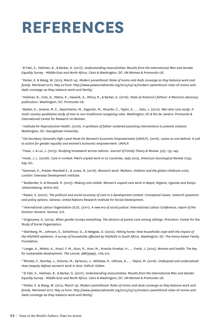## **references**

1 El Feki, S., Heilman, B., & Barker, G. (2017). *Understanding masculinities*: *Results from the International Men and Gender Equality Survey - Middle East and North Africa*. Cairo & Washington, DC: UN Women & Promundo-US.

2 Parker, K. & Wang, W. (2013, March 14). *Modern parenthood: Roles of moms and dads converge as they balance work and family.* Retrieved 2017, May 22 from: http://www.pewsocialtrends.org/2013/03/14/modern-parenthood-roles-of-moms-anddads-converge-as-they-balance-work-and-family/

3 Heilman, B., Cole, G., Matos, K., Hassink, A., Mincy, R., & Barker, G. (2016). *State of America's fathers: A MenCare advocacy publication*. Washington, DC: Promundo-US.

4 Barker, G., Greene, M. E., Nascimento, M., Segundo, M., Ricardo, C., Taylor, A., … Kato, J. (2012). *Men who care study: A multi-country qualitative study of men in non-traditional caregiving roles.* Washington, DC & Rio de Janeiro: Promundo & International Center for Research on Women.

<sup>5</sup> Institute for Reproductive Health. (2016). *A synthesis of father-centered parenting interventions to prevent violence.* Washington, DC: Georgetown University.

6 UN Secretary-General's High-Level Panel On Women's Economic Empowerment (UNHLP). (2016). *Leave no one behind: A call to action for gender equality and women's economic empowerment*. UNHLP.

7 Treas, J. & Lui, J. (2013). Studying housework across nations. J*ournal of Family Theory & Review. 5(2)*, 135–149.

8 Hook, J. L. (2006). Care in context: Men's unpaid work in 20 countries, 1965-2003. *American Sociological Review 71(4)*, 639–60.

9 Samman, E., Presler-Marshall E., & Jones, N. (2016). *Women's work: Mothers, children and the global childcare crisis.* London: Overseas Development Institute.

10 Budlender, D. & Moussié. R. (2013). *Making care visible: Women's unpaid care work In Nepal, Nigeria, Uganda and Kenya*. Johannesburg: Action Aid.

11 Razavi, S. (2007). *The political and social economy of care in a development context: Conceptual issues, research questions and policy options*. Geneva: United Nations Research Institute for Social Development.

<sup>12</sup> International Labour Organization (ILO). (2011). A new era of social justice: International Labour Conference, report of the *Director-General*. Geneva: ILO.

<sup>13</sup> Grigoryeva, A. (2014). *When gender trumps everything: The division of parent care among siblings*. Princeton: Center for the Study of Social Organization.

14 Steinberg, M., Johnson, S., Schierhout, G., & Ndegwa. D. (2002). *Hitting home: How households cope with the impact of the HIV/AIDS epidemic. A survey of households affected by HIV/AIDS in South Africa*. Washington, DC: The Henry Kaiser Family Foundation.

15 Langer, A., Meleis, A., Knaul, F. M., Atun, R., Aran, M., Arreola-Ornelas, H., … Frenk, J. (2015). Women and health: The key for sustainable development. *The Lancet*, *386(9999)*, 1165-210.

16 Rhodes, F., Burnley, J., Dolores, M., Kyriacou, J., Wilshaw, R., Ukhova, D., … Talpur, M. (2016). *Underpaid and undervalued: How inequity defines women's work in Asia*. Oxford: Oxfam.

17 El Feki, S., Heilman, B., & Barker, G. (2017). *Understanding masculinities: Results from the International Men and Gender Equality Survey - Middle East and North Africa.* Cairo & Washington, DC: UN Women & Promundo-US.

<sup>18</sup> Parker, K. & Wang, W. (2013, March 14). *Modern parenthood: Roles of moms and dads converge as they balance work and family*. Retrieved 2017, May 22 from: http://www.pewsocialtrends.org/2013/03/14/modern-parenthood-roles-of-moms-anddads-converge-as-they-balance-work-and-family/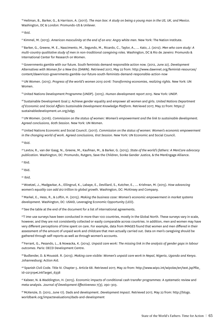19 Heilman, B., Barker, G., & Harrison, A. (2017). *The man box: A study on being a young man in the US, UK, and Mexico*. Washington, DC & London: Promundo-US & Unilever.

20 Ibid.

21 Kimmel, M. (2013). *American masculinity at the end of an era: Angry white men*. New York: The Nation Institute.

22 Barker, G., Greene, M. E., Nascimento, M., Segundo, M., Ricardo, C., Taylor, A., … Kato, J. (2012). *Men who care study: A multi-country qualitative study of men in non-traditional caregiving roles*. Washington, DC & Rio de Janeiro: Promundo & International Center for Research on Women.

23 Governments gamble with our future. South feminists demand responsible action now. (2012, June 22). *Development Alternatives with Women for a New Era (DAWN)*. Retrieved 2017, May 22 from: http://www.dawnnet.org/feminist-resources/ content/dawnrio20-governments-gamble-our-future-south-feminists-demand-responsible-action-now

24 UN Women. (2015). *Progress of the world's women 2015-2016: Transforming economies, realizing rights.* New York: UN Women.

25 United Nations Development Programme (UNDP). (2015). *Human development report 2015*. New York: UNDP.

26 Sustainable Development Goal 5: Achieve gender equality and empower all women and girls. *United Nations Department of Economic and Social Affairs Sustainable Development Knowledge Platform*. Retrieved 2017, May 22 from: https:// sustainabledevelopment.un.org/sdg5

27 UN Women. (2016). *Commission on the status of women: Women's empowerment and the link to sustainable development. Agreed conclusions, 60th Session.* New York: UN Women.

28 United Nations Economic and Social Council. (2017). *Commission on the status of women: Women's economic empowerment in the changing world of work. Agreed conclusions, 61st Session*. New York: UN Economic and Social Council.

 $29$  Ibid.

30 Levtov, R., van der Gaag, N., Greene, M., Kaufman, M., & Barker, G. (2015). *State of the world's fathers: A MenCare advocacy publication.* Washington, DC: Promundo, Rutgers, Save the Children, Sonke Gender Justice, & the MenEngage Alliance.

 $31$  Ibid.

 $32$  Ibid.

33 Ibid.

34 Woetzel, J., Madgavkar, A., Ellingrud, K., Labaye, E., Devillard, S., Kutcher, E., … Krishnan, M. (2015). *How advancing women's equality can add \$12 trillion to global growth*. Washington, DC: McKinsey and Company.

35 Markel, E., Hess, R., & Loftin, H. (2015). *Making the business case: Women's economic empowerment in market systems development.* Washington, DC: USAID, Leveraging Economic Opportunity (LEO).

36 See the table at the end of the document for a list of international agreements.

37T ime-use surveys have been conducted in more than 100 countries, mostly in the Global North. These surveys vary in scale, however, and they are not consistently collected or easily comparable across countries. In addition, men and women may have very different perceptions of time spent on care. For example, data from IMAGES found that women and men differed in their assessment of the amount of unpaid work and childcare that men actually carried out. Data on men's caregiving should be gathered through self-reports as well as through women's accounts.

38 Ferrant, G., Pesando, L., & Nowacka, K. (2014). *Unpaid care work: The missing link in the analysis of gender gaps in labour outcomes*. Paris: OECD Development Centre.

39 Budlender, D. & Moussié. R. (2013). *Making care visible: Women's unpaid care work In Nepal, Nigeria, Uganda and Kenya*. Johannesburg: Action Aid.

40 Spanish Civil Code. Title IV. Chapter 5. Article 68. Retrieved 2017, May 22 from: http://www.wipo.int/wipolex/en/text.jsp?file\_ id=221319#LinkTarget\_6338

41 Kabeer, N. & Waddington, H. (2015). Economic impacts of conditional cash transfer programmes: A systematic review and meta-analysis. J*ournal of Development Effectiveness 7(3),* 290–303.

42 McKenzie, D. (2012, June 17). Dads and development. *Development Impact*. Retrieved 2017, May 22 from: http://blogs. worldbank.org/impactevaluations/dads-and-development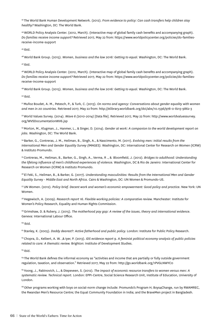43 The World Bank Human Development Network. (2012). *From evidence to policy: Can cash transfers help children stay healthy?* Washington, DC: The World Bank.

44 WORLD Policy Analysis Center. (2012, March). (Interactive map of global family cash benefits and accompanying graph). *Do families receive income support?* Retrieved 2017, May 22 from: https://www.worldpolicycenter.org/policies/do-familiesreceive-income-support

45 Ibid.

46 World Bank Group. (2015). *Women, business and the law 2016: Getting to equal.* Washington, DC: The World Bank.

 $47$  Ibid.

48 WORLD Policy Analysis Center. (2012, March). (Interactive map of global family cash benefits and accompanying graph). *Do families receive income support?* Retrieved 2017, May 22 from: https://www.worldpolicycenter.org/policies/do-familiesreceive-income-support

49 World Bank Group. (2015). *Women, business and the law 2016: Getting to equal.* Washington, DC: The World Bank.

 $50$  Ibid.

51 Muñoz Boudet, A. M., Petesch, P., & Turk, C. (2013). *On norms and agency: Conversations about gender equality with women and men in 20 countries.* Retrieved 2017, May 22 from: http://elibrary.worldbank.org/doi/abs/10.1596/978-0-8213-9862-3

52 World Values Survey. (2014). *Wave 6 (2010-2014)* [Data file]. Retrieved 2017, May 22 from: http://www.worldvaluessurvey. org/WVSDocumentationWV6.jsp

53 Morton, M., Klugman, J., Hanmer, L., & Singer, D. (2014). *Gender at work: A companion to the world development report on jobs.* Washington, DC: The World Bank.

54 Barker, G., Contreras, J. M., Heilman, B., Singh, A., & Nascimento, M. (2011). *Evolving men: Initial results from the International Men and Gender Equality Survey (IMAGES).* Washington, DC: International Center for Research on Women (ICRW) & Instituto Promundo.

55 Contreras, M., Heilman, B., Barker, G., Singh, A., Verma, R ., & Bloomfield, J. (2012). *Bridges to adulthood: Understanding the lifelong influence of men's childhood experiences of violence.* Washington, DC & Rio de Janeiro: International Center for Research on Women (ICRW) & Instituto Promundo.

56 El Feki, S., Heilman, B., & Barker, G. (2017). *Understanding masculinities: Results from the International Men and Gender Equality Survey - Middle East and North Africa.* Cairo & Washington, DC: UN Women & Promundo-US.

57 UN Women. (2012). *Policy brief. Decent work and women's economic empowerment: Good policy and practice*. New York: UN Women.

58 Hegewisch, A. (2009). *Research report 16. Flexible working policies: A comparative review.* Manchester: Institute for Women's Policy Research, Equality and Human Rights Commission.

59 Grimshaw, D. & Rubery, J. (2015). *The motherhood pay gap: A review of the issues, theory and international evidence.* Geneva: International Labour Office.

60 Ibid.

61 Stanley, K. (2005). *Daddy dearest?: Active fatherhood and public policy.* London: Institute for Public Policy Research.

62 Chopra, D., Kelbert, A. W. ,& Iyer, P. (2013). *IDS evidence report 9. A feminist political economy analysis of public policies related to care: A thematic review.* Brighton: Institute of Development Studies.

 $63$  Ibid.

<sup>64</sup> The World Bank defines the informal economy as "activities and income that are partially or fully outside government regulation, taxation, and observation." Retrieved 2017, May 22 from: http://go.worldbank.org/1PVGLNWYC0

65 Yoong, J., Rabinovich, L., & Diepeveen, S. (2012). *The impact of economic resource transfers to women versus men: A systematic review. Technical report.* London: EPPI-Centre, Social Science Research Unit, Institute of Education, University of London.

<sup>66</sup> Other programs working with boys on social-norm change include: Promundo's Program H; Boys4Change, run by RWAMREC, the Rwandan Men's Resource Centre; the Equal Community Foundation in India; and the BraveMen project in Bangladesh.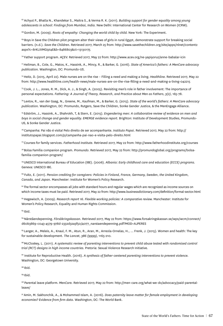67 Achyut P., Bhatla N., Khandekar S., Maitra S., & Verma R. K. (2011). *Building support for gender equality among young adolescents in school: Findings from Mumbai, India.* New Delhi: International Center for Research on Women (ICRW).

<sup>68</sup> Gordon, M. (2009). Roots of empathy: Changing the world child by child. New York: The Experiment.

<sup>69</sup> Boys in Save the Children pilot program alter their views of girls in rural Egypt, demonstrate support for breaking social barriers. (n.d.). *Save the Children*. Retrieved 2017, March 25 from: http://www.savethechildren.org/site/apps/nlnet/content2 aspx?c=8rKLIXMGIpI4E&b=8486803&ct=13130175

70 Father support program. *AÇEV.* Retrieved 2017, May 22 from: http://www.acev.org/ne-yapiyoruz/anne-babalar-icin

71 Heilman, B., Cole, G., Matos, K., Hassink, A., Mincy, R., & Barker, G. (2016). *State of America's fathers: A MenCare advocacy publication*. Washington, DC: Promundo-US.

72 Heitz, D. (2015, April 22). Male nurses are on the rise – Filling a need and making a living. *Healthline.* Retrieved 2017, May 22 from: http://www.healthline.com/health-news/male-nurses-are-on-the-rise-filling-a-need-and-making-a-living-042215

73 Cook, J. L., Jones, R. M., Dick, A. J., & Singh, A. (2005). Revisiting men's role in father involvement: The importance of personal expectations. *Fathering: A Journal of Theory, Research, and Practice about Men as Fathers*, *3(2)*, 165-78.

74 Levtov, R., van der Gaag, N., Greene, M., Kaufman, M., & Barker, G. (2015). *State of the world's fathers: A MenCare advocacy publication.* Washington, DC: Promundo, Rutgers, Save the Children, Sonke Gender Justice, & the MenEngage Alliance.

75 Edström, J., Hassink, A., Shahrokh, T, & Stern, E. (2015). *Engendering men: A collaborative review of evidence on men and boys in social change and gender equality. EMERGE evidence report.* Brighton: Institute of Development Studies, Promundo-US, & Sonke Gender Justice.

76 Campanha: Pai não é visita! Pelo direito de ser acompanhante. *Instituto Papai*. Retrieved 2017, May 22 from: http:// institutopapai.blogspot.com/p/campanha-pai-nao-e-visita-pelo-direito.html

77 Courses for family services. *Fatherhood Institute*. Retrieved 2017, May 22 from: http://www.fatherhoodinstitute.org/courses

78 Bolsa Família companion program. *Promundo*. Retrieved 2017, May 22 from: http://promundoglobal.org/programs/bolsafamilia-companion-program/

79 UNESCO International Bureau of Education (IBE). (2006). *Albania: Early childhood care and education (ECCE) programs.* Geneva: UNESCO IBE.

80 Fultz, E. (2011). Pension crediting for caregivers: Policies in Finland, France, Germany, Sweden, the United Kingdom, *Canada, and Japan.* Manchester: Institute for Women's Policy Research.

81 The formal sector encompasses all jobs with standard hours and regular wages which are recognized as income sources on which income taxes must be paid. Retrieved 2017, May 22 from: http://www.businessdictionary.com/definition/formal-sector.html

82 Hegewisch, A. (2009). *Research report 16. Flexible working policies: A comparative review.* Manchester: Institute for Women's Policy Research, Equality and Human Rights Commission.

 $83$  Ibid.

84 Närståendepenning. *Försäkringskassan.* Retrieved 2017, May 22 from: https://www.forsakringskassan.se/wps/wcm/connect/ d60b3869-c043-4579-978d-2332d32a3f50/4077\_narstaendepenning.pdf?MOD=AJPERES

85 Langer, A., Meleis, A., Knaul, F. M., Atun, R., Aran, M., Arreola-Ornelas, H., ... Frenk, J. (2015). Women and health: The key for sustainable development. *The Lancet, 386 (9999)*, 1165-210.

86 McCloskey, L. (2011). A systematic review of parenting interventions to prevent child abuse tested with randomised control *trial (RCT) designs in high income countries.* Pretoria: Sexual Violence Research Initiative.

<sup>87</sup> Institute for Reproductive Health. (2016). *A synthesis of father-centered parenting interventions to prevent violence.* Washington, DC: Georgetown University.

88 Ibid.

89 Ibid.

90 Parental leave platform. *MenCare.* Retrieved 2017, May 22 from: http://men-care.org/what-we-do/advocacy/paid-parentalleave/

91 Amin, M. Sakhonchik, A., & Mohammed Islam, A. (2016). *Does paternity leave matter for female employment in developing economies? Evidence from firm data.* Washington, DC: The World Bank.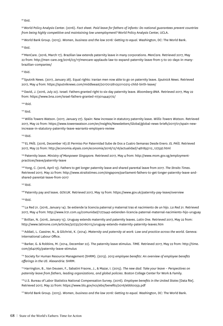$92$  Ibid.

93 World Policy Analysis Center. (2016). *Fact sheet. Paid leave for fathers of infants: Do national guarantees prevent countries from being highly competitive and maintaining low unemployment?* World Policy Analysis Center, UCLA.

94 World Bank Group. (2015). *Women, business and the law 2016: Getting to equal.* Washington, DC: The World Bank.

95 Ibid.

96 MenCare. (2016, March 17). Brazilian law extends paternity leave in many corporations. *MenCare.* Retrieved 2017, May 22 from: http://men-care.org/2016/03/17/mencare-applauds-law-to-expand-paternity-leave-from-5-to-20-days-in-manybrazilian-companies/

 $97$  Ibid.

98 Sputnik News. (2017, January 28). Equal rights: Iranian men now able to go on paternity leave. *Sputnick News.* Retrieved 2017, May 4 from: https://sputniknews.com/middleeast/201701281050110215-child-birth-leave/

99 David, J. (2016, July 22). Israel: Fathers granted right to six-day paternity leave. *Bloomberg BNA.* Retrieved 2017, May 22 from: https://www.bna.com/israel-fathers-granted-n73014445172/

100 Ibid.

101 Ibid.

102 Willis Towers Watson. (2017, January 27). Spain: New increase in statutory paternity leave. *Willis Towers Watson.* Retrieved 2017, May 22 from: https://www.towerswatson.com/en/Insights/Newsletters/Global/global-news-briefs/2017/01/spain-newincrease-in-statutory-paternity-leave-warrants-employers-review

 $103$  Ibid.

104 EL PAÍS. (2016, December 16).El Permiso Por Paternidad Sube de Dos a Cuatro Semanas Desde Enero. *EL PAÍS.* Retrieved 2017, May 22 from: http://economia.elpais.com/economia/2016/12/16/actualidad/1481893112\_127597.html

105 Paternity leave. *Ministry of Manpower Singapore.* Retrieved 2017, May 4 from: http://www.mom.gov.sg/employmentpractices/leave/paternity-leave

106 Yong, C. (2016, April 13). Fathers to get longer paternity leave and shared parental leave from 2017. *The Straits Times.* Retrieved 2017, May 22 from: http://www.straitstimes.com/singapore/parliament-fathers-to-get-longer-paternity-leave-andshared-parental-leave-from-2017

 $107$  Ibid.

108 Paternity pay and leave. *GOV.UK.* Retrieved 2017, May 19 from: https://www.gov.uk/paternity-pay-leave/overview

109 Ibid.

110 La Red 21. (2016, January 14). Se extiende la licencia paternal y maternal tras el nacimiento de un hijo. *La Red 21.* Retrieved 2017, May 4 from: http://www.lr21.com.uy/comunidad/1272442-extienden-licencia-paternal-maternal-nacimiento-hijo-uruguay

111 Bolilan, N. (2016, January 15). Uruguay extends maternity and paternity leaves. *Latin One.* Retrieved 2017, May 22 from: http://www.latinone.com/articles/30732/20160115/uruguay-extends-maternity-paternity-leaves.htm

112 Addati, L. Cassirer, N., & Gilchrist, K. (2014). *Maternity and paternity at work: Law and practice across the world*. Geneva: International Labour Office.

113 Barker, G. & Robbins, M. (2014, December 22). The paternity leave stimulus. *TIME.* Retrieved 2017, May 22 from: http://time. com/3642763/paternity-leave-stimulus

<sup>114</sup> Society for Human Resource Management (SHRM). (2013). *2013 employee benefits: An overview of employee benefits offerings in the US*. Alexandria: SHRM.

115 Harrington, B., Van Deusen, F., Sabatini Fraone, J., & Mazar, I. (2015). *The new dad: Take your leave – Perspectives on paternity leave from fathers, leading organizations, and global policies*. Boston College Center for Work & Family.

116 U.S. Bureau of Labor Statistics National Compensation Survey. (2016)*. Employee benefits in the United States* [Data file]. Retrieved 2017, May 22 from: https://www.bls.gov/ncs/ebs/benefits/2016/ebbl0059.pdf

117 World Bank Group. (2015). *Women, business and the law 2016: Getting to equal.* Washington, DC: The World Bank.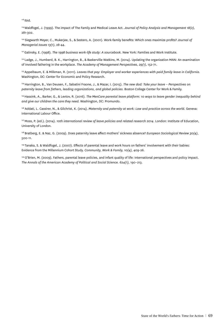$118$  Ibid.

119 Waldfogel, J. (1999). The impact of The Family and Medical Leave Act. *Journal of Policy Analysis and Management 18(2)*, 281-302.

120 Siegwarth Meyer, C., Mukerjee, S., & Sestero, A. (2001). Work-family benefits: Which ones maximize profits? *Journal of Managerial Issues 13(1)*, 28-44.

121 Galinsky, E. (1998). *The 1998 business work-life study: A sourcebook.* New York: Families and Work Institute.

122 Ladge, J., Humberd, B. K., Harrington, B., & Baskerville Watkins, M. (2014). Updating the organization MAN: An examination of involved fathering in the workplace. *The Academy of Management Perspectives, 29(1)*, 152-71.

<sup>123</sup> Appelbaum, E. & Milkman, R. (2011). *Leaves that pay: Employer and worker experiences with paid family leave in California.* Washington, DC: Center for Economic and Policy Research.

124 Harrington, B., Van Deusen, F., Sabatini Fraone, J., & Mazar, I. (2015). *The new dad: Take your leave – Perspectives on paternity leave from fathers, leading organizations, and global policies.* Boston College Center for Work & Family.

<sup>125</sup> Hassink, A., Barker, G., & Levtov, R. (2016). *The MenCare parental leave platform: 10 ways to leave gender inequality behind and give our children the care they need.* Washington, DC: Promundo.

126 Addati, L. Cassirer, N., & Gilchrist, K. (2014). *Maternity and paternity at work: Law and practice across the world.* Geneva: International Labour Office.

<sup>127</sup> Moss, P. (ed.). (2014). *10th international review of leave policies and related research 2014*. London: Institute of Education, University of London.

128 Bratberg, E. & Naz, G. (2009). Does paternity leave affect mothers' sickness absence? *European Sociological Review 30(4)*, 500-11.

129 Tanaka, S. & Waldfogel, J. (2007). Effects of parental leave and work hours on fathers' involvement with their babies: Evidence from the Millennium Cohort Study. *Community, Work & Family, 10(4),* 409-26.

<sup>130</sup> O'Brien, M. (2009). Fathers, parental leave policies, and infant quality of life: International perspectives and policy impact. *The Annals of the American Academy of Political and Social Science. 624(1),* 190–213.